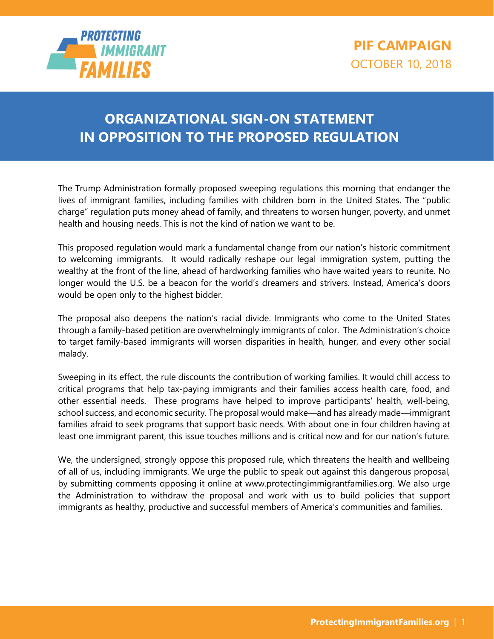

## **ORGANIZATIONAL SIGN-ON STATEMENT IN OPPOSITION TO THE PROPOSED REGULATION**

The Trump Administration formally proposed sweeping regulations this morning that endanger the lives of immigrant families, including families with children born in the United States. The "public charge" regulation puts money ahead of family, and threatens to worsen hunger, poverty, and unmet health and housing needs. This is not the kind of nation we want to be.

This proposed regulation would mark a fundamental change from our nation's historic commitment to welcoming immigrants. It would radically reshape our legal immigration system, putting the wealthy at the front of the line, ahead of hardworking families who have waited years to reunite. No longer would the U.S. be a beacon for the world's dreamers and strivers. Instead, America's doors would be open only to the highest bidder.

The proposal also deepens the nation's racial divide. Immigrants who come to the United States through a family-based petition are overwhelmingly immigrants of color. The Administration's choice to target family-based immigrants will worsen disparities in health, hunger, and every other social malady.

Sweeping in its effect, the rule discounts the contribution of working families. It would chill access to critical programs that help tax-paying immigrants and their families access health care, food, and other essential needs. These programs have helped to improve participants' health, well-being, school success, and economic security. The proposal would make—and has already made—immigrant families afraid to seek programs that support basic needs. With about one in four children having at least one immigrant parent, this issue touches millions and is critical now and for our nation's future.

We, the undersigned, strongly oppose this proposed rule, which threatens the health and wellbeing of all of us, including immigrants. We urge the public to speak out against this dangerous proposal, by submitting comments opposing it online at www.protectingimmigrantfamilies.org. We also urge the Administration to withdraw the proposal and work with us to build policies that support immigrants as healthy, productive and successful members of America's communities and families.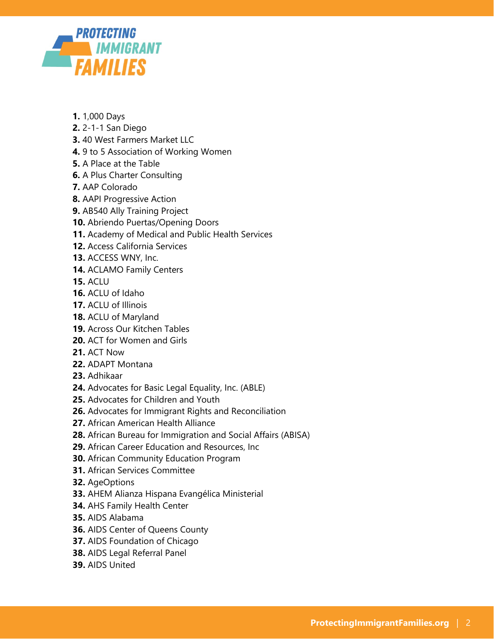

- **1.** 1,000 Days
- **2.** 2-1-1 San Diego
- **3.** 40 West Farmers Market LLC
- **4.** 9 to 5 Association of Working Women
- **5.** A Place at the Table
- **6.** A Plus Charter Consulting
- **7.** AAP Colorado
- **8.** AAPI Progressive Action
- **9.** AB540 Ally Training Project
- **10.** Abriendo Puertas/Opening Doors
- **11.** Academy of Medical and Public Health Services
- **12.** Access California Services
- **13.** ACCESS WNY, Inc.
- **14.** ACLAMO Family Centers
- **15.** ACLU
- **16.** ACLU of Idaho
- **17.** ACLU of Illinois
- **18.** ACLU of Maryland
- **19.** Across Our Kitchen Tables
- **20.** ACT for Women and Girls
- **21.** ACT Now
- **22.** ADAPT Montana
- **23.** Adhikaar
- **24.** Advocates for Basic Legal Equality, Inc. (ABLE)
- **25.** Advocates for Children and Youth
- **26.** Advocates for Immigrant Rights and Reconciliation
- **27.** African American Health Alliance
- **28.** African Bureau for Immigration and Social Affairs (ABISA)
- **29.** African Career Education and Resources, Inc
- **30.** African Community Education Program
- **31.** African Services Committee
- **32.** AgeOptions
- **33.** AHEM Alianza Hispana Evangélica Ministerial
- **34.** AHS Family Health Center
- **35.** AIDS Alabama
- **36.** AIDS Center of Queens County
- **37.** AIDS Foundation of Chicago
- **38.** AIDS Legal Referral Panel
- **39.** AIDS United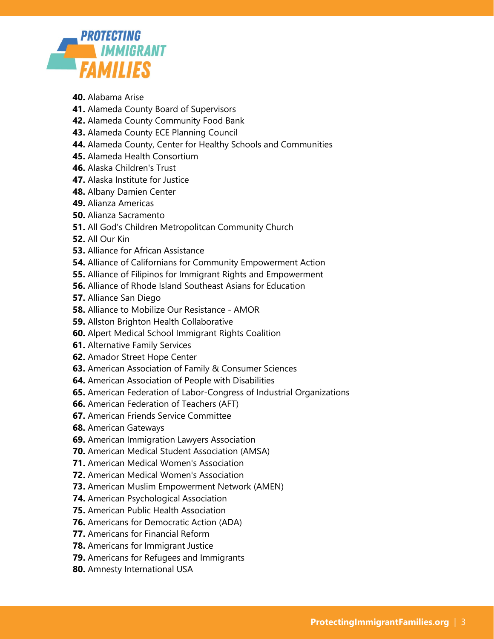

- **40.** Alabama Arise
- **41.** Alameda County Board of Supervisors
- **42.** Alameda County Community Food Bank
- **43.** Alameda County ECE Planning Council
- **44.** Alameda County, Center for Healthy Schools and Communities
- **45.** Alameda Health Consortium
- **46.** Alaska Children's Trust
- **47.** Alaska Institute for Justice
- **48.** Albany Damien Center
- **49.** Alianza Americas
- **50.** Alianza Sacramento
- **51.** All God's Children Metropolitcan Community Church
- **52.** All Our Kin
- **53.** Alliance for African Assistance
- **54.** Alliance of Californians for Community Empowerment Action
- **55.** Alliance of Filipinos for Immigrant Rights and Empowerment
- **56.** Alliance of Rhode Island Southeast Asians for Education
- **57.** Alliance San Diego
- **58.** Alliance to Mobilize Our Resistance AMOR
- **59.** Allston Brighton Health Collaborative
- **60.** Alpert Medical School Immigrant Rights Coalition
- **61.** Alternative Family Services
- **62.** Amador Street Hope Center
- **63.** American Association of Family & Consumer Sciences
- **64.** American Association of People with Disabilities
- **65.** American Federation of Labor-Congress of Industrial Organizations
- **66.** American Federation of Teachers (AFT)
- **67.** American Friends Service Committee
- **68.** American Gateways
- **69.** American Immigration Lawyers Association
- **70.** American Medical Student Association (AMSA)
- **71.** American Medical Women's Association
- **72.** American Medical Women's Association
- **73.** American Muslim Empowerment Network (AMEN)
- **74.** American Psychological Association
- **75.** American Public Health Association
- **76.** Americans for Democratic Action (ADA)
- **77.** Americans for Financial Reform
- **78.** Americans for Immigrant Justice
- **79.** Americans for Refugees and Immigrants
- **80.** Amnesty International USA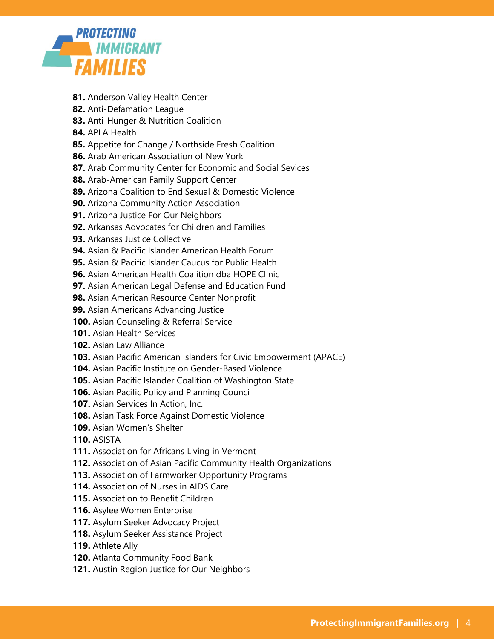

- **81.** Anderson Valley Health Center
- **82.** Anti-Defamation League
- **83.** Anti-Hunger & Nutrition Coalition
- **84.** APLA Health
- **85.** Appetite for Change / Northside Fresh Coalition
- **86.** Arab American Association of New York
- **87.** Arab Community Center for Economic and Social Sevices
- **88.** Arab-American Family Support Center
- **89.** Arizona Coalition to End Sexual & Domestic Violence
- **90.** Arizona Community Action Association
- **91.** Arizona Justice For Our Neighbors
- **92.** Arkansas Advocates for Children and Families
- **93.** Arkansas Justice Collective
- **94.** Asian & Pacific Islander American Health Forum
- **95.** Asian & Pacific Islander Caucus for Public Health
- **96.** Asian American Health Coalition dba HOPE Clinic
- **97.** Asian American Legal Defense and Education Fund
- **98.** Asian American Resource Center Nonprofit
- **99.** Asian Americans Advancing Justice
- **100.** Asian Counseling & Referral Service
- **101.** Asian Health Services
- **102.** Asian Law Alliance
- **103.** Asian Pacific American Islanders for Civic Empowerment (APACE)
- **104.** Asian Pacific Institute on Gender-Based Violence
- **105.** Asian Pacific Islander Coalition of Washington State
- **106.** Asian Pacific Policy and Planning Counci
- **107.** Asian Services In Action, Inc.
- **108.** Asian Task Force Against Domestic Violence
- **109.** Asian Women's Shelter
- **110.** ASISTA
- **111.** Association for Africans Living in Vermont
- **112.** Association of Asian Pacific Community Health Organizations
- **113.** Association of Farmworker Opportunity Programs
- **114.** Association of Nurses in AIDS Care
- **115.** Association to Benefit Children
- **116.** Asylee Women Enterprise
- **117.** Asylum Seeker Advocacy Project
- **118.** Asylum Seeker Assistance Project
- **119.** Athlete Ally
- **120.** Atlanta Community Food Bank
- **121.** Austin Region Justice for Our Neighbors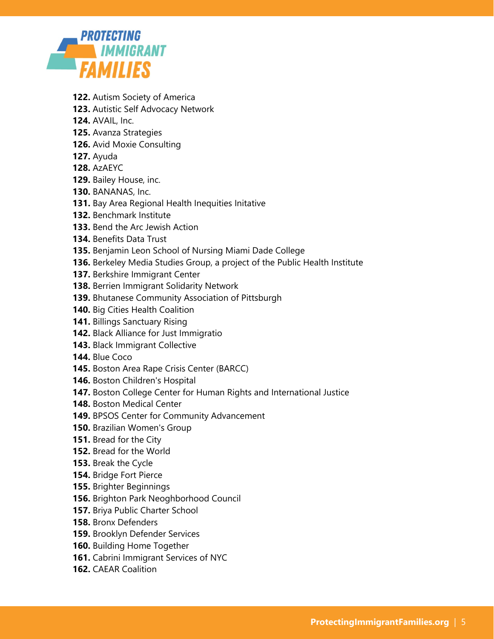

- **122.** Autism Society of America
- **123.** Autistic Self Advocacy Network
- **124.** AVAIL, Inc.
- **125.** Avanza Strategies
- **126.** Avid Moxie Consulting
- **127.** Ayuda
- **128.** AzAEYC
- **129.** Bailey House, inc.
- **130.** BANANAS, Inc.
- **131.** Bay Area Regional Health Inequities Initative
- **132.** Benchmark Institute
- **133.** Bend the Arc Jewish Action
- **134.** Benefits Data Trust
- **135.** Benjamin Leon School of Nursing Miami Dade College
- **136.** Berkeley Media Studies Group, a project of the Public Health Institute
- **137.** Berkshire Immigrant Center
- **138.** Berrien Immigrant Solidarity Network
- **139.** Bhutanese Community Association of Pittsburgh
- **140.** Big Cities Health Coalition
- **141.** Billings Sanctuary Rising
- **142.** Black Alliance for Just Immigratio
- **143.** Black Immigrant Collective
- **144.** Blue Coco
- **145.** Boston Area Rape Crisis Center (BARCC)
- **146.** Boston Children's Hospital
- **147.** Boston College Center for Human Rights and International Justice
- **148.** Boston Medical Center
- **149.** BPSOS Center for Community Advancement
- **150.** Brazilian Women's Group
- **151.** Bread for the City
- **152.** Bread for the World
- **153.** Break the Cycle
- **154.** Bridge Fort Pierce
- **155.** Brighter Beginnings
- **156.** Brighton Park Neoghborhood Council
- **157.** Briya Public Charter School
- **158.** Bronx Defenders
- **159.** Brooklyn Defender Services
- **160.** Building Home Together
- **161.** Cabrini Immigrant Services of NYC
- **162.** CAEAR Coalition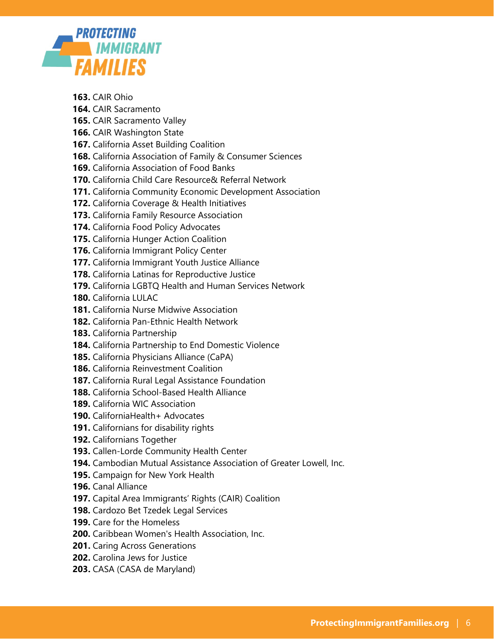

- **163.** CAIR Ohio
- **164.** CAIR Sacramento
- **165.** CAIR Sacramento Valley
- **166.** CAIR Washington State
- **167.** California Asset Building Coalition
- **168.** California Association of Family & Consumer Sciences
- **169.** California Association of Food Banks
- **170.** California Child Care Resource& Referral Network
- **171.** California Community Economic Development Association
- **172.** California Coverage & Health Initiatives
- **173.** California Family Resource Association
- **174.** California Food Policy Advocates
- **175.** California Hunger Action Coalition
- **176.** California Immigrant Policy Center
- **177.** California Immigrant Youth Justice Alliance
- **178.** California Latinas for Reproductive Justice
- **179.** California LGBTQ Health and Human Services Network
- **180.** California LULAC
- **181.** California Nurse Midwive Association
- **182.** California Pan-Ethnic Health Network
- **183.** California Partnership
- **184.** California Partnership to End Domestic Violence
- **185.** California Physicians Alliance (CaPA)
- **186.** California Reinvestment Coalition
- **187.** California Rural Legal Assistance Foundation
- **188.** California School-Based Health Alliance
- **189.** California WIC Association
- **190.** CaliforniaHealth+ Advocates
- **191.** Californians for disability rights
- **192.** Californians Together
- **193.** Callen-Lorde Community Health Center
- **194.** Cambodian Mutual Assistance Association of Greater Lowell, Inc.
- **195.** Campaign for New York Health
- **196.** Canal Alliance
- **197.** Capital Area Immigrants' Rights (CAIR) Coalition
- **198.** Cardozo Bet Tzedek Legal Services
- **199.** Care for the Homeless
- **200.** Caribbean Women's Health Association, Inc.
- **201.** Caring Across Generations
- **202.** Carolina Jews for Justice
- **203.** CASA (CASA de Maryland)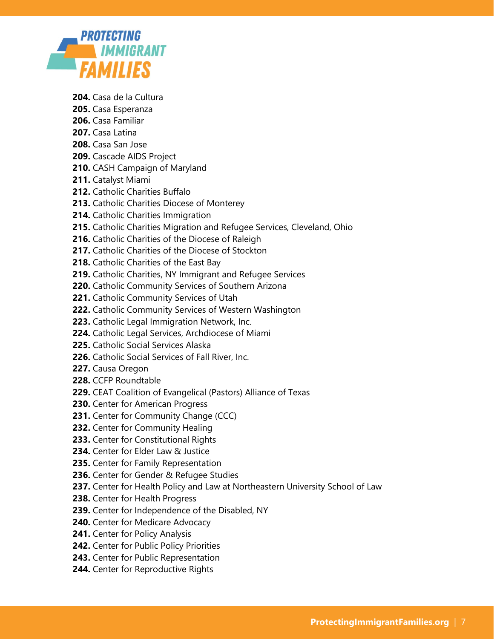

- **204.** Casa de la Cultura
- **205.** Casa Esperanza
- **206.** Casa Familiar
- **207.** Casa Latina
- **208.** Casa San Jose
- **209.** Cascade AIDS Project
- **210.** CASH Campaign of Maryland
- **211.** Catalyst Miami
- **212.** Catholic Charities Buffalo
- **213.** Catholic Charities Diocese of Monterey
- **214.** Catholic Charities Immigration
- **215.** Catholic Charities Migration and Refugee Services, Cleveland, Ohio
- **216.** Catholic Charities of the Diocese of Raleigh
- **217.** Catholic Charities of the Diocese of Stockton
- **218.** Catholic Charities of the East Bay
- **219.** Catholic Charities, NY Immigrant and Refugee Services
- **220.** Catholic Community Services of Southern Arizona
- **221.** Catholic Community Services of Utah
- **222.** Catholic Community Services of Western Washington
- **223.** Catholic Legal Immigration Network, Inc.
- **224.** Catholic Legal Services, Archdiocese of Miami
- **225.** Catholic Social Services Alaska
- **226.** Catholic Social Services of Fall River, Inc.
- **227.** Causa Oregon
- **228.** CCFP Roundtable
- **229.** CEAT Coalition of Evangelical (Pastors) Alliance of Texas
- **230.** Center for American Progress
- **231.** Center for Community Change (CCC)
- **232.** Center for Community Healing
- **233.** Center for Constitutional Rights
- **234.** Center for Elder Law & Justice
- **235.** Center for Family Representation
- **236.** Center for Gender & Refugee Studies
- **237.** Center for Health Policy and Law at Northeastern University School of Law
- **238.** Center for Health Progress
- **239.** Center for Independence of the Disabled, NY
- **240.** Center for Medicare Advocacy
- **241.** Center for Policy Analysis
- **242.** Center for Public Policy Priorities
- **243.** Center for Public Representation
- **244.** Center for Reproductive Rights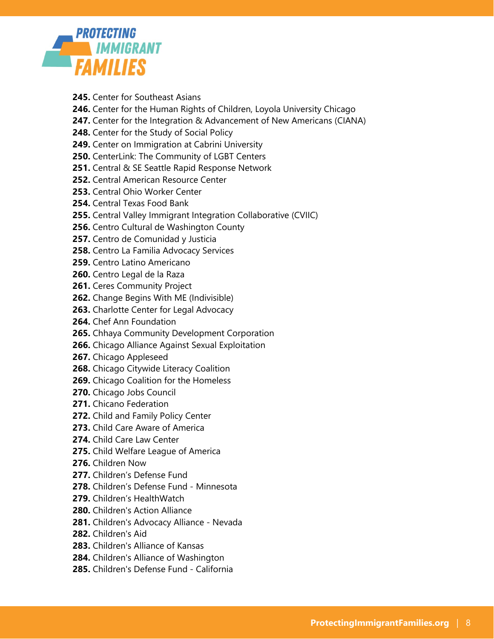

- **245.** Center for Southeast Asians
- **246.** Center for the Human Rights of Children, Loyola University Chicago
- **247.** Center for the Integration & Advancement of New Americans (CIANA)
- **248.** Center for the Study of Social Policy
- **249.** Center on Immigration at Cabrini University
- **250.** CenterLink: The Community of LGBT Centers
- **251.** Central & SE Seattle Rapid Response Network
- **252.** Central American Resource Center
- **253.** Central Ohio Worker Center
- **254.** Central Texas Food Bank
- **255.** Central Valley Immigrant Integration Collaborative (CVIIC)
- **256.** Centro Cultural de Washington County
- **257.** Centro de Comunidad y Justicia
- **258.** Centro La Familia Advocacy Services
- **259.** Centro Latino Americano
- **260.** Centro Legal de la Raza
- **261.** Ceres Community Project
- **262.** Change Begins With ME (Indivisible)
- **263.** Charlotte Center for Legal Advocacy
- **264.** Chef Ann Foundation
- **265.** Chhaya Community Development Corporation
- **266.** Chicago Alliance Against Sexual Exploitation
- **267.** Chicago Appleseed
- **268.** Chicago Citywide Literacy Coalition
- **269.** Chicago Coalition for the Homeless
- **270.** Chicago Jobs Council
- **271.** Chicano Federation
- **272.** Child and Family Policy Center
- **273.** Child Care Aware of America
- **274.** Child Care Law Center
- **275.** Child Welfare League of America
- **276.** Children Now
- **277.** Children's Defense Fund
- **278.** Children's Defense Fund Minnesota
- **279.** Children's HealthWatch
- **280.** Children's Action Alliance
- **281.** Children's Advocacy Alliance Nevada
- **282.** Children's Aid
- **283.** Children's Alliance of Kansas
- **284.** Children's Alliance of Washington
- **285.** Children's Defense Fund California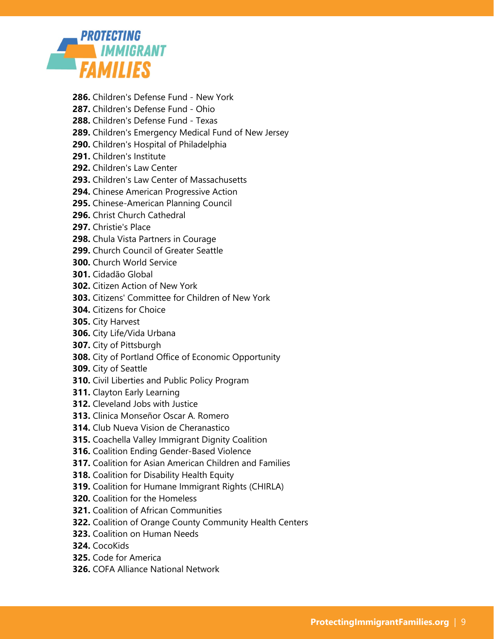

- **286.** Children's Defense Fund New York
- **287.** Children's Defense Fund Ohio
- **288.** Children's Defense Fund Texas
- **289.** Children's Emergency Medical Fund of New Jersey
- **290.** Children's Hospital of Philadelphia
- **291.** Children's Institute
- **292.** Children's Law Center
- **293.** Children's Law Center of Massachusetts
- **294.** Chinese American Progressive Action
- **295.** Chinese-American Planning Council
- **296.** Christ Church Cathedral
- **297.** Christie's Place
- **298.** Chula Vista Partners in Courage
- **299.** Church Council of Greater Seattle
- **300.** Church World Service
- **301.** Cidadão Global
- **302.** Citizen Action of New York
- **303.** Citizens' Committee for Children of New York
- **304.** Citizens for Choice
- **305.** City Harvest
- **306.** City Life/Vida Urbana
- **307.** City of Pittsburgh
- **308.** City of Portland Office of Economic Opportunity
- **309.** City of Seattle
- **310.** Civil Liberties and Public Policy Program
- **311.** Clayton Early Learning
- **312.** Cleveland Jobs with Justice
- **313.** Clinica Monseñor Oscar A. Romero
- **314.** Club Nueva Vision de Cheranastico
- **315.** Coachella Valley Immigrant Dignity Coalition
- **316.** Coalition Ending Gender-Based Violence
- **317.** Coalition for Asian American Children and Families
- **318.** Coalition for Disability Health Equity
- **319.** Coalition for Humane Immigrant Rights (CHIRLA)
- **320.** Coalition for the Homeless
- **321.** Coalition of African Communities
- **322.** Coalition of Orange County Community Health Centers
- **323.** Coalition on Human Needs
- **324.** CocoKids
- **325.** Code for America
- **326.** COFA Alliance National Network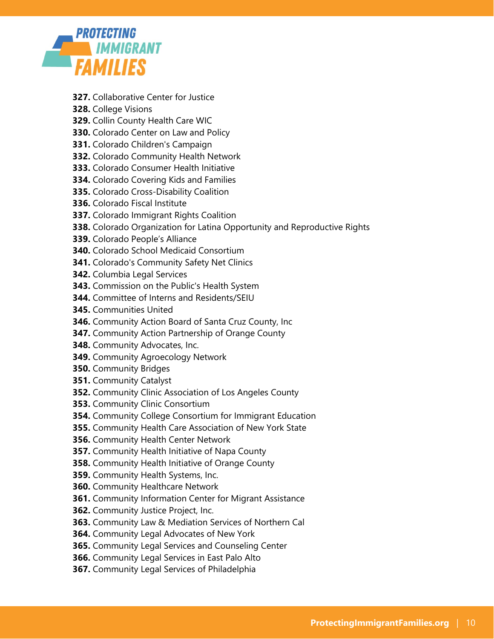

- **327.** Collaborative Center for Justice
- **328.** College Visions
- **329.** Collin County Health Care WIC
- **330.** Colorado Center on Law and Policy
- **331.** Colorado Children's Campaign
- **332.** Colorado Community Health Network
- **333.** Colorado Consumer Health Initiative
- **334.** Colorado Covering Kids and Families
- **335.** Colorado Cross-Disability Coalition
- **336.** Colorado Fiscal Institute
- **337.** Colorado Immigrant Rights Coalition
- **338.** Colorado Organization for Latina Opportunity and Reproductive Rights
- **339.** Colorado People's Alliance
- **340.** Colorado School Medicaid Consortium
- **341.** Colorado's Community Safety Net Clinics
- **342.** Columbia Legal Services
- **343.** Commission on the Public's Health System
- **344.** Committee of Interns and Residents/SEIU
- **345.** Communities United
- **346.** Community Action Board of Santa Cruz County, Inc
- **347.** Community Action Partnership of Orange County
- **348.** Community Advocates, Inc.
- **349.** Community Agroecology Network
- **350.** Community Bridges
- **351.** Community Catalyst
- **352.** Community Clinic Association of Los Angeles County
- **353.** Community Clinic Consortium
- **354.** Community College Consortium for Immigrant Education
- **355.** Community Health Care Association of New York State
- **356.** Community Health Center Network
- **357.** Community Health Initiative of Napa County
- **358.** Community Health Initiative of Orange County
- **359.** Community Health Systems, Inc.
- **360.** Community Healthcare Network
- **361.** Community Information Center for Migrant Assistance
- **362.** Community Justice Project, Inc.
- **363.** Community Law & Mediation Services of Northern Cal
- **364.** Community Legal Advocates of New York
- **365.** Community Legal Services and Counseling Center
- **366.** Community Legal Services in East Palo Alto
- **367.** Community Legal Services of Philadelphia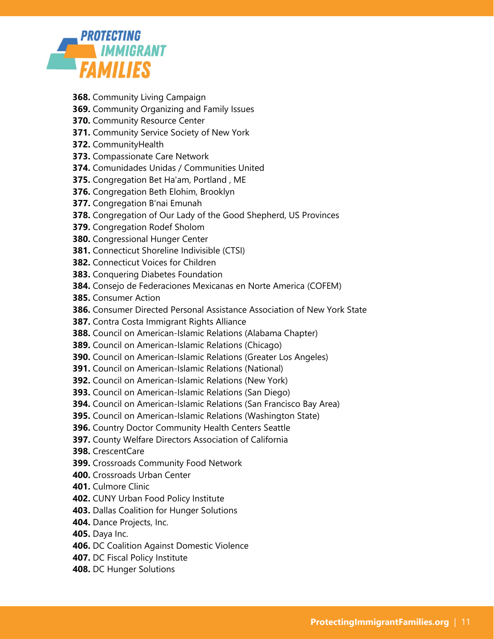

- **368.** Community Living Campaign
- **369.** Community Organizing and Family Issues
- **370.** Community Resource Center
- **371.** Community Service Society of New York
- **372.** CommunityHealth
- **373.** Compassionate Care Network
- **374.** Comunidades Unidas / Communities United
- **375.** Congregation Bet Ha'am, Portland , ME
- **376.** Congregation Beth Elohim, Brooklyn
- **377.** Congregation B'nai Emunah
- **378.** Congregation of Our Lady of the Good Shepherd, US Provinces
- **379.** Congregation Rodef Sholom
- **380.** Congressional Hunger Center
- **381.** Connecticut Shoreline Indivisible (CTSI)
- **382.** Connecticut Voices for Children
- **383.** Conquering Diabetes Foundation
- **384.** Consejo de Federaciones Mexicanas en Norte America (COFEM)
- **385.** Consumer Action
- **386.** Consumer Directed Personal Assistance Association of New York State
- **387.** Contra Costa Immigrant Rights Alliance
- **388.** Council on American-Islamic Relations (Alabama Chapter)
- **389.** Council on American-Islamic Relations (Chicago)
- **390.** Council on American-Islamic Relations (Greater Los Angeles)
- **391.** Council on American-Islamic Relations (National)
- **392.** Council on American-Islamic Relations (New York)
- **393.** Council on American-Islamic Relations (San Diego)
- **394.** Council on American-Islamic Relations (San Francisco Bay Area)
- **395.** Council on American-Islamic Relations (Washington State)
- **396.** Country Doctor Community Health Centers Seattle
- **397.** County Welfare Directors Association of California
- **398.** CrescentCare
- **399.** Crossroads Community Food Network
- **400.** Crossroads Urban Center
- **401.** Culmore Clinic
- **402.** CUNY Urban Food Policy Institute
- **403.** Dallas Coalition for Hunger Solutions
- **404.** Dance Projects, Inc.
- **405.** Daya Inc.
- **406.** DC Coalition Against Domestic Violence
- **407.** DC Fiscal Policy Institute
- **408.** DC Hunger Solutions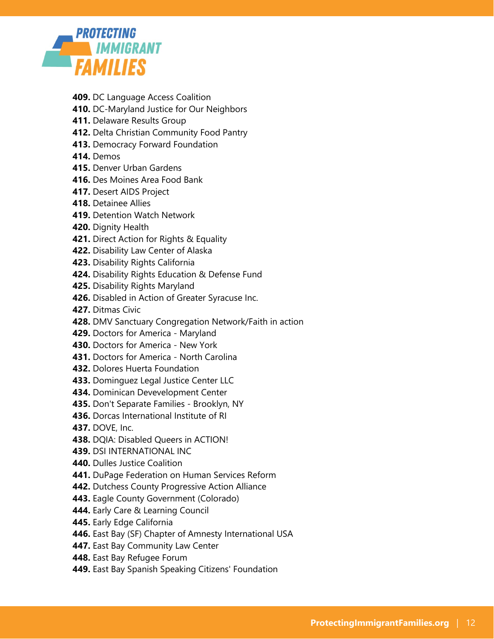

- **409.** DC Language Access Coalition
- **410.** DC-Maryland Justice for Our Neighbors
- **411.** Delaware Results Group
- **412.** Delta Christian Community Food Pantry
- **413.** Democracy Forward Foundation
- **414.** Demos
- **415.** Denver Urban Gardens
- **416.** Des Moines Area Food Bank
- **417.** Desert AIDS Project
- **418.** Detainee Allies
- **419.** Detention Watch Network
- **420.** Dignity Health
- **421.** Direct Action for Rights & Equality
- **422.** Disability Law Center of Alaska
- **423.** Disability Rights California
- **424.** Disability Rights Education & Defense Fund
- **425.** Disability Rights Maryland
- **426.** Disabled in Action of Greater Syracuse Inc.
- **427.** Ditmas Civic
- **428.** DMV Sanctuary Congregation Network/Faith in action
- **429.** Doctors for America Maryland
- **430.** Doctors for America New York
- **431.** Doctors for America North Carolina
- **432.** Dolores Huerta Foundation
- **433.** Dominguez Legal Justice Center LLC
- **434.** Dominican Devevelopment Center
- **435.** Don't Separate Families Brooklyn, NY
- **436.** Dorcas International Institute of RI
- **437.** DOVE, Inc.
- **438.** DQIA: Disabled Queers in ACTION!
- **439.** DSI INTERNATIONAL INC
- **440.** Dulles Justice Coalition
- **441.** DuPage Federation on Human Services Reform
- **442.** Dutchess County Progressive Action Alliance
- **443.** Eagle County Government (Colorado)
- **444.** Early Care & Learning Council
- **445.** Early Edge California
- **446.** East Bay (SF) Chapter of Amnesty International USA
- **447.** East Bay Community Law Center
- **448.** East Bay Refugee Forum
- **449.** East Bay Spanish Speaking Citizens' Foundation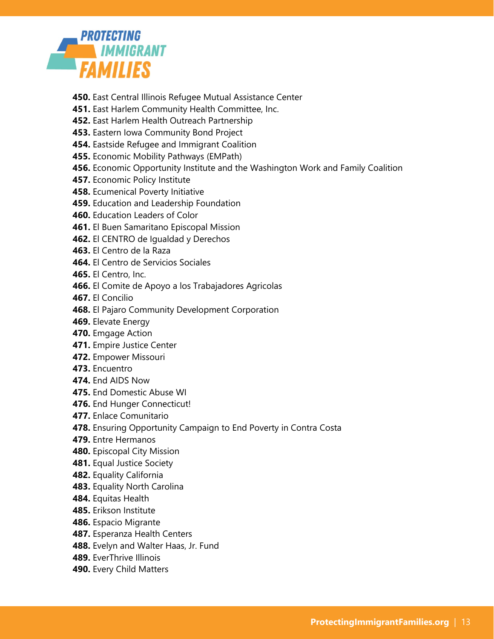

- **450.** East Central Illinois Refugee Mutual Assistance Center
- **451.** East Harlem Community Health Committee, Inc.
- **452.** East Harlem Health Outreach Partnership
- **453.** Eastern Iowa Community Bond Project
- **454.** Eastside Refugee and Immigrant Coalition
- **455.** Economic Mobility Pathways (EMPath)
- **456.** Economic Opportunity Institute and the Washington Work and Family Coalition
- **457.** Economic Policy Institute
- **458.** Ecumenical Poverty Initiative
- **459.** Education and Leadership Foundation
- **460.** Education Leaders of Color
- **461.** El Buen Samaritano Episcopal Mission
- **462.** El CENTRO de Igualdad y Derechos
- **463.** El Centro de la Raza
- **464.** El Centro de Servicios Sociales
- **465.** El Centro, Inc.
- **466.** El Comite de Apoyo a los Trabajadores Agricolas
- **467.** El Concilio
- **468.** El Pajaro Community Development Corporation
- **469.** Elevate Energy
- **470.** Emgage Action
- **471.** Empire Justice Center
- **472.** Empower Missouri
- **473.** Encuentro
- **474.** End AIDS Now
- **475.** End Domestic Abuse WI
- **476.** End Hunger Connecticut!
- **477.** Enlace Comunitario
- **478.** Ensuring Opportunity Campaign to End Poverty in Contra Costa
- **479.** Entre Hermanos
- **480.** Episcopal City Mission
- **481.** Equal Justice Society
- **482.** Equality California
- **483.** Equality North Carolina
- **484.** Equitas Health
- **485.** Erikson Institute
- **486.** Espacio Migrante
- **487.** Esperanza Health Centers
- **488.** Evelyn and Walter Haas, Jr. Fund
- **489.** EverThrive Illinois
- **490.** Every Child Matters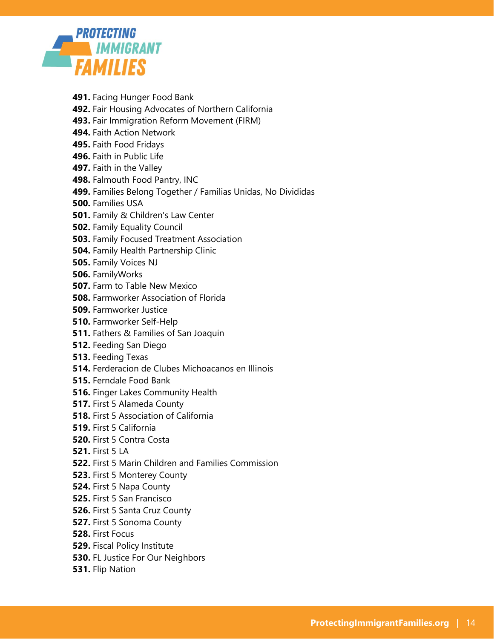

- **491.** Facing Hunger Food Bank
- **492.** Fair Housing Advocates of Northern California
- **493.** Fair Immigration Reform Movement (FIRM)
- **494.** Faith Action Network
- **495.** Faith Food Fridays
- **496.** Faith in Public Life
- **497.** Faith in the Valley
- **498.** Falmouth Food Pantry, INC
- **499.** Families Belong Together / Familias Unidas, No Divididas
- **500.** Families USA
- **501.** Family & Children's Law Center
- **502.** Family Equality Council
- **503.** Family Focused Treatment Association
- **504.** Family Health Partnership Clinic
- **505.** Family Voices NJ
- **506.** FamilyWorks
- **507.** Farm to Table New Mexico
- **508.** Farmworker Association of Florida
- **509.** Farmworker Justice
- **510.** Farmworker Self-Help
- **511.** Fathers & Families of San Joaquin
- **512.** Feeding San Diego
- **513.** Feeding Texas
- **514.** Ferderacion de Clubes Michoacanos en Illinois
- **515.** Ferndale Food Bank
- **516.** Finger Lakes Community Health
- **517.** First 5 Alameda County
- **518.** First 5 Association of California
- **519.** First 5 California
- **520.** First 5 Contra Costa
- **521.** First 5 LA
- **522.** First 5 Marin Children and Families Commission
- **523.** First 5 Monterey County
- **524.** First 5 Napa County
- **525.** First 5 San Francisco
- **526.** First 5 Santa Cruz County
- **527.** First 5 Sonoma County
- **528.** First Focus
- **529.** Fiscal Policy Institute
- **530.** FL Justice For Our Neighbors
- **531.** Flip Nation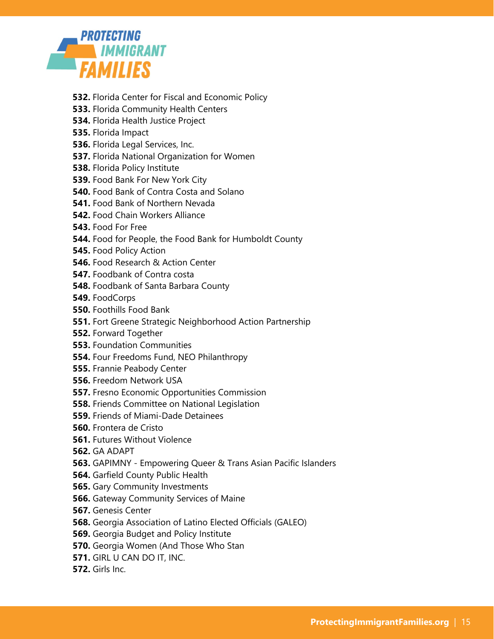

- **532.** Florida Center for Fiscal and Economic Policy
- **533.** Florida Community Health Centers
- **534.** Florida Health Justice Project
- **535.** Florida Impact
- **536.** Florida Legal Services, Inc.
- **537.** Florida National Organization for Women
- **538.** Florida Policy Institute
- **539.** Food Bank For New York City
- **540.** Food Bank of Contra Costa and Solano
- **541.** Food Bank of Northern Nevada
- **542.** Food Chain Workers Alliance
- **543.** Food For Free
- **544.** Food for People, the Food Bank for Humboldt County
- **545.** Food Policy Action
- **546.** Food Research & Action Center
- **547.** Foodbank of Contra costa
- **548.** Foodbank of Santa Barbara County
- **549.** FoodCorps
- **550.** Foothills Food Bank
- **551.** Fort Greene Strategic Neighborhood Action Partnership
- **552.** Forward Together
- **553.** Foundation Communities
- **554.** Four Freedoms Fund, NEO Philanthropy
- **555.** Frannie Peabody Center
- **556.** Freedom Network USA
- **557.** Fresno Economic Opportunities Commission
- **558.** Friends Committee on National Legislation
- **559.** Friends of Miami-Dade Detainees
- **560.** Frontera de Cristo
- **561.** Futures Without Violence
- **562.** GA ADAPT
- **563.** GAPIMNY Empowering Queer & Trans Asian Pacific Islanders
- **564.** Garfield County Public Health
- **565.** Gary Community Investments
- **566.** Gateway Community Services of Maine
- **567.** Genesis Center
- **568.** Georgia Association of Latino Elected Officials (GALEO)
- **569.** Georgia Budget and Policy Institute
- **570.** Georgia Women (And Those Who Stan
- **571.** GIRL U CAN DO IT, INC.
- **572.** Girls Inc.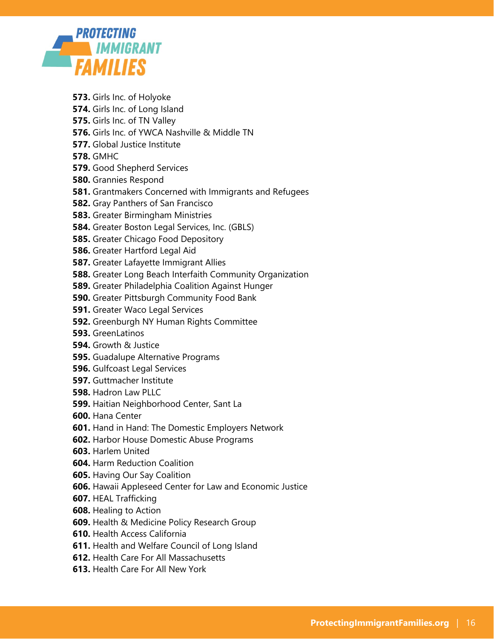

- **573.** Girls Inc. of Holyoke
- **574.** Girls Inc. of Long Island
- **575.** Girls Inc. of TN Valley
- **576.** Girls Inc. of YWCA Nashville & Middle TN
- **577.** Global Justice Institute
- **578.** GMHC
- **579.** Good Shepherd Services
- **580.** Grannies Respond
- **581.** Grantmakers Concerned with Immigrants and Refugees
- **582.** Gray Panthers of San Francisco
- **583.** Greater Birmingham Ministries
- **584.** Greater Boston Legal Services, Inc. (GBLS)
- **585.** Greater Chicago Food Depository
- **586.** Greater Hartford Legal Aid
- **587.** Greater Lafayette Immigrant Allies
- **588.** Greater Long Beach Interfaith Community Organization
- **589.** Greater Philadelphia Coalition Against Hunger
- **590.** Greater Pittsburgh Community Food Bank
- **591.** Greater Waco Legal Services
- **592.** Greenburgh NY Human Rights Committee
- **593.** GreenLatinos
- **594.** Growth & Justice
- **595.** Guadalupe Alternative Programs
- **596.** Gulfcoast Legal Services
- **597.** Guttmacher Institute
- **598.** Hadron Law PLLC
- **599.** Haitian Neighborhood Center, Sant La
- **600.** Hana Center
- **601.** Hand in Hand: The Domestic Employers Network
- **602.** Harbor House Domestic Abuse Programs
- **603.** Harlem United
- **604.** Harm Reduction Coalition
- **605.** Having Our Say Coalition
- **606.** Hawaii Appleseed Center for Law and Economic Justice
- **607.** HEAL Trafficking
- **608.** Healing to Action
- **609.** Health & Medicine Policy Research Group
- **610.** Health Access California
- **611.** Health and Welfare Council of Long Island
- **612.** Health Care For All Massachusetts
- **613.** Health Care For All New York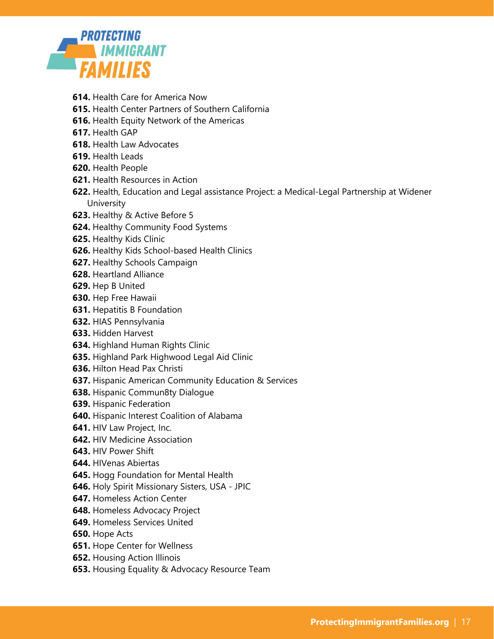

- **614.** Health Care for America Now
- **615.** Health Center Partners of Southern California
- **616.** Health Equity Network of the Americas
- **617.** Health GAP
- **618.** Health Law Advocates
- **619.** Health Leads
- **620.** Health People
- **621.** Health Resources in Action
- **622.** Health, Education and Legal assistance Project: a Medical-Legal Partnership at Widener **University**
- **623.** Healthy & Active Before 5
- **624.** Healthy Community Food Systems
- **625.** Healthy Kids Clinic
- **626.** Healthy Kids School-based Health Clinics
- **627.** Healthy Schools Campaign
- **628.** Heartland Alliance
- **629.** Hep B United
- **630.** Hep Free Hawaii
- **631.** Hepatitis B Foundation
- **632.** HIAS Pennsylvania
- **633.** Hidden Harvest
- **634.** Highland Human Rights Clinic
- **635.** Highland Park Highwood Legal Aid Clinic
- **636.** Hilton Head Pax Christi
- **637.** Hispanic American Community Education & Services
- **638.** Hispanic Commun8ty Dialogue
- **639.** Hispanic Federation
- **640.** Hispanic Interest Coalition of Alabama
- **641.** HIV Law Project, Inc.
- **642.** HIV Medicine Association
- **643.** HIV Power Shift
- **644.** HIVenas Abiertas
- **645.** Hogg Foundation for Mental Health
- **646.** Holy Spirit Missionary Sisters, USA JPIC
- **647.** Homeless Action Center
- **648.** Homeless Advocacy Project
- **649.** Homeless Services United
- **650.** Hope Acts
- **651.** Hope Center for Wellness
- **652.** Housing Action Illinois
- **653.** Housing Equality & Advocacy Resource Team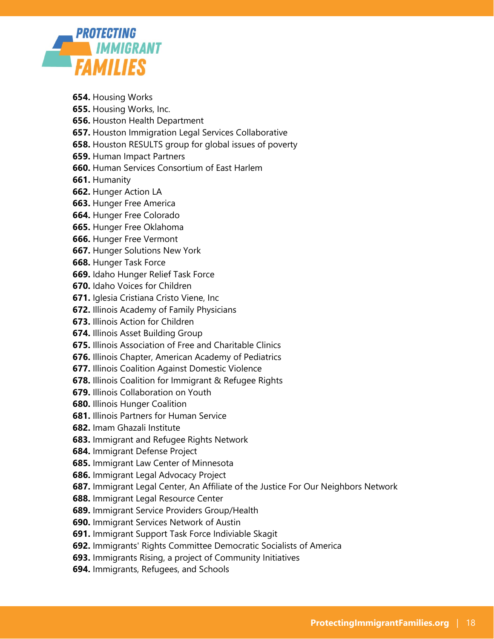

- **654.** Housing Works
- **655.** Housing Works, Inc.
- **656.** Houston Health Department
- **657.** Houston Immigration Legal Services Collaborative
- **658.** Houston RESULTS group for global issues of poverty
- **659.** Human Impact Partners
- **660.** Human Services Consortium of East Harlem
- **661.** Humanity
- **662.** Hunger Action LA
- **663.** Hunger Free America
- **664.** Hunger Free Colorado
- **665.** Hunger Free Oklahoma
- **666.** Hunger Free Vermont
- **667.** Hunger Solutions New York
- **668.** Hunger Task Force
- **669.** Idaho Hunger Relief Task Force
- **670.** Idaho Voices for Children
- **671.** Iglesia Cristiana Cristo Viene, Inc
- **672.** Illinois Academy of Family Physicians
- **673.** Illinois Action for Children
- **674.** Illinois Asset Building Group
- **675.** Illinois Association of Free and Charitable Clinics
- **676.** Illinois Chapter, American Academy of Pediatrics
- **677.** Illinois Coalition Against Domestic Violence
- **678.** Illinois Coalition for Immigrant & Refugee Rights
- **679.** Illinois Collaboration on Youth
- **680.** Illinois Hunger Coalition
- **681.** Illinois Partners for Human Service
- **682.** Imam Ghazali Institute
- **683.** Immigrant and Refugee Rights Network
- **684.** Immigrant Defense Project
- **685.** Immigrant Law Center of Minnesota
- **686.** Immigrant Legal Advocacy Project
- **687.** Immigrant Legal Center, An Affiliate of the Justice For Our Neighbors Network
- **688.** Immigrant Legal Resource Center
- **689.** Immigrant Service Providers Group/Health
- **690.** Immigrant Services Network of Austin
- **691.** Immigrant Support Task Force Indiviable Skagit
- **692.** Immigrants' Rights Committee Democratic Socialists of America
- **693.** Immigrants Rising, a project of Community Initiatives
- **694.** Immigrants, Refugees, and Schools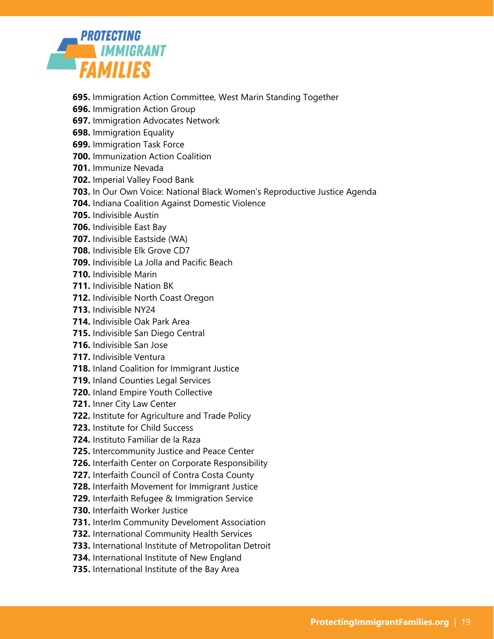

- **695.** Immigration Action Committee, West Marin Standing Together
- **696.** Immigration Action Group
- **697.** Immigration Advocates Network
- **698.** Immigration Equality
- **699.** Immigration Task Force
- **700.** Immunization Action Coalition
- **701.** Immunize Nevada
- **702.** Imperial Valley Food Bank
- **703.** In Our Own Voice: National Black Women's Reproductive Justice Agenda
- **704.** Indiana Coalition Against Domestic Violence
- **705.** Indivisible Austin
- **706.** Indivisible East Bay
- **707.** Indivisible Eastside (WA)
- **708.** Indivisible Elk Grove CD7
- **709.** Indivisible La Jolla and Pacific Beach
- **710.** Indivisible Marin
- **711.** Indivisible Nation BK
- **712.** Indivisible North Coast Oregon
- **713.** Indivisible NY24
- **714.** Indivisible Oak Park Area
- **715.** Indivisible San Diego Central
- **716.** Indivisible San Jose
- **717.** Indivisible Ventura
- **718.** Inland Coalition for Immigrant Justice
- **719.** Inland Counties Legal Services
- **720.** Inland Empire Youth Collective
- **721.** Inner City Law Center
- **722.** Institute for Agriculture and Trade Policy
- **723.** Institute for Child Success
- **724.** Instituto Familiar de la Raza
- **725.** Intercommunity Justice and Peace Center
- **726.** Interfaith Center on Corporate Responsibility
- **727.** Interfaith Council of Contra Costa County
- **728.** Interfaith Movement for Immigrant Justice
- **729.** Interfaith Refugee & Immigration Service
- **730.** Interfaith Worker Justice
- **731.** InterIm Community Develoment Association
- **732.** International Community Health Services
- **733.** International Institute of Metropolitan Detroit
- **734.** International Institute of New England
- **735.** International Institute of the Bay Area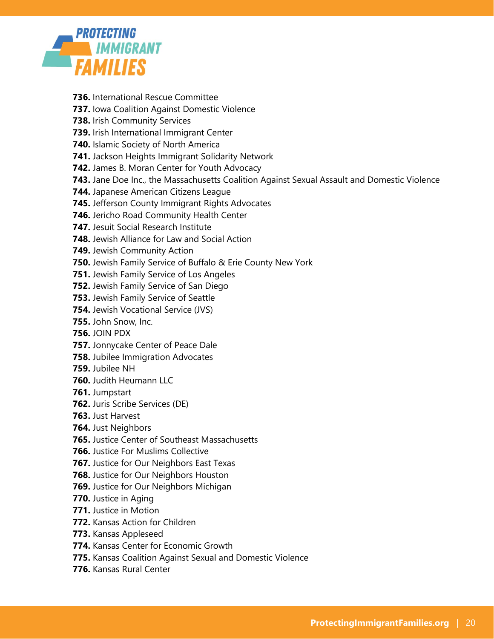

- **736.** International Rescue Committee
- **737.** Iowa Coalition Against Domestic Violence
- **738.** Irish Community Services
- **739.** Irish International Immigrant Center
- **740.** Islamic Society of North America
- **741.** Jackson Heights Immigrant Solidarity Network
- **742.** James B. Moran Center for Youth Advocacy
- **743.** Jane Doe Inc., the Massachusetts Coalition Against Sexual Assault and Domestic Violence
- **744.** Japanese American Citizens League
- **745.** Jefferson County Immigrant Rights Advocates
- **746.** Jericho Road Community Health Center
- **747.** Jesuit Social Research Institute
- **748.** Jewish Alliance for Law and Social Action
- **749.** Jewish Community Action
- **750.** Jewish Family Service of Buffalo & Erie County New York
- **751.** Jewish Family Service of Los Angeles
- **752.** Jewish Family Service of San Diego
- **753.** Jewish Family Service of Seattle
- **754.** Jewish Vocational Service (JVS)
- **755.** John Snow, Inc.
- **756.** JOIN PDX
- **757.** Jonnycake Center of Peace Dale
- **758.** Jubilee Immigration Advocates
- **759.** Jubilee NH
- **760.** Judith Heumann LLC
- **761.** Jumpstart
- **762.** Juris Scribe Services (DE)
- **763.** Just Harvest
- **764.** Just Neighbors
- **765.** Justice Center of Southeast Massachusetts
- **766.** Justice For Muslims Collective
- **767.** Justice for Our Neighbors East Texas
- **768.** Justice for Our Neighbors Houston
- **769.** Justice for Our Neighbors Michigan
- **770.** Justice in Aging
- **771.** Justice in Motion
- **772.** Kansas Action for Children
- **773.** Kansas Appleseed
- **774.** Kansas Center for Economic Growth
- **775.** Kansas Coalition Against Sexual and Domestic Violence
- **776.** Kansas Rural Center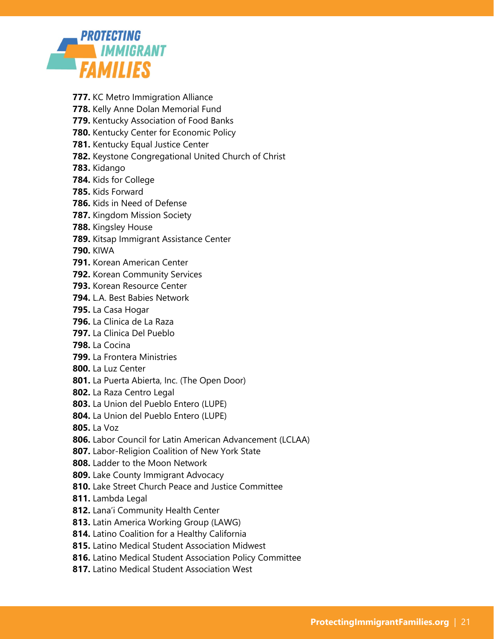

- **777.** KC Metro Immigration Alliance
- **778.** Kelly Anne Dolan Memorial Fund
- **779.** Kentucky Association of Food Banks
- **780.** Kentucky Center for Economic Policy
- **781.** Kentucky Equal Justice Center
- **782.** Keystone Congregational United Church of Christ
- **783.** Kidango
- **784.** Kids for College
- **785.** Kids Forward
- **786.** Kids in Need of Defense
- **787.** Kingdom Mission Society
- **788.** Kingsley House
- **789.** Kitsap Immigrant Assistance Center
- **790.** KIWA
- **791.** Korean American Center
- **792.** Korean Community Services
- **793.** Korean Resource Center
- **794.** L.A. Best Babies Network
- **795.** La Casa Hogar
- **796.** La Clinica de La Raza
- **797.** La Clinica Del Pueblo
- **798.** La Cocina
- **799.** La Frontera Ministries
- **800.** La Luz Center
- **801.** La Puerta Abierta, Inc. (The Open Door)
- **802.** La Raza Centro Legal
- **803.** La Union del Pueblo Entero (LUPE)
- **804.** La Union del Pueblo Entero (LUPE)
- **805.** La Voz
- **806.** Labor Council for Latin American Advancement (LCLAA)
- **807.** Labor-Religion Coalition of New York State
- **808.** Ladder to the Moon Network
- **809.** Lake County Immigrant Advocacy
- **810.** Lake Street Church Peace and Justice Committee
- **811.** Lambda Legal
- **812.** Lana'i Community Health Center
- **813.** Latin America Working Group (LAWG)
- **814.** Latino Coalition for a Healthy California
- **815.** Latino Medical Student Association Midwest
- **816.** Latino Medical Student Association Policy Committee
- **817.** Latino Medical Student Association West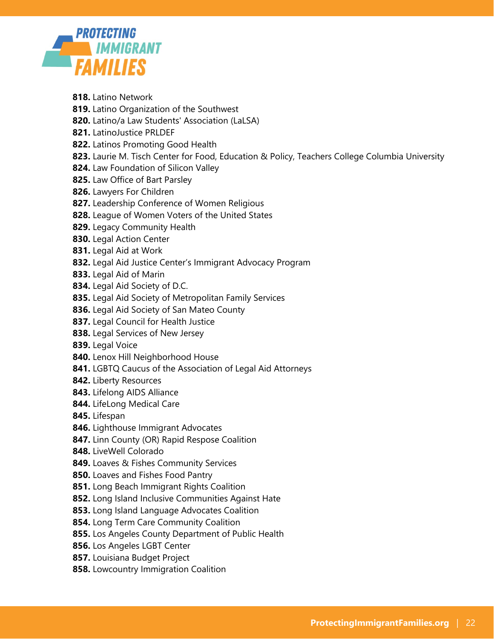

- **818.** Latino Network
- **819.** Latino Organization of the Southwest
- **820.** Latino/a Law Students' Association (LaLSA)
- **821.** LatinoJustice PRLDEF
- **822.** Latinos Promoting Good Health
- **823.** Laurie M. Tisch Center for Food, Education & Policy, Teachers College Columbia University
- **824.** Law Foundation of Silicon Valley
- **825.** Law Office of Bart Parsley
- **826.** Lawyers For Children
- **827.** Leadership Conference of Women Religious
- **828.** League of Women Voters of the United States
- **829.** Legacy Community Health
- **830.** Legal Action Center
- **831.** Legal Aid at Work
- **832.** Legal Aid Justice Center's Immigrant Advocacy Program
- **833.** Legal Aid of Marin
- **834.** Legal Aid Society of D.C.
- **835.** Legal Aid Society of Metropolitan Family Services
- **836.** Legal Aid Society of San Mateo County
- **837.** Legal Council for Health Justice
- **838.** Legal Services of New Jersey
- **839.** Legal Voice
- **840.** Lenox Hill Neighborhood House
- **841.** LGBTQ Caucus of the Association of Legal Aid Attorneys
- **842.** Liberty Resources
- **843.** Lifelong AIDS Alliance
- **844.** LifeLong Medical Care
- **845.** Lifespan
- **846.** Lighthouse Immigrant Advocates
- **847.** Linn County (OR) Rapid Respose Coalition
- **848.** LiveWell Colorado
- **849.** Loaves & Fishes Community Services
- **850.** Loaves and Fishes Food Pantry
- **851.** Long Beach Immigrant Rights Coalition
- **852.** Long Island Inclusive Communities Against Hate
- **853.** Long Island Language Advocates Coalition
- **854.** Long Term Care Community Coalition
- **855.** Los Angeles County Department of Public Health
- **856.** Los Angeles LGBT Center
- **857.** Louisiana Budget Project
- **858.** Lowcountry Immigration Coalition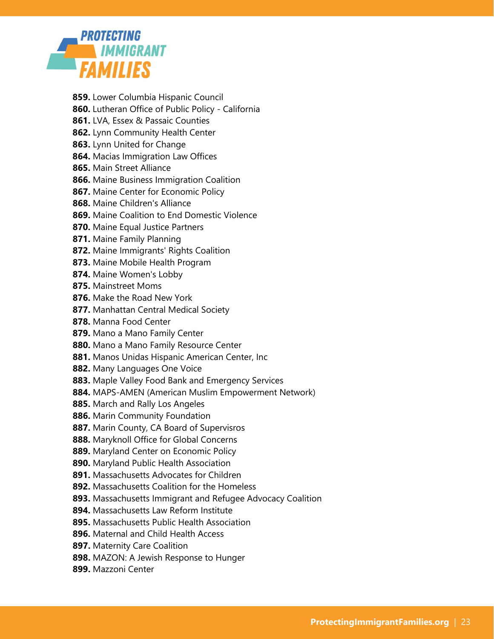

- **859.** Lower Columbia Hispanic Council
- **860.** Lutheran Office of Public Policy California
- **861.** LVA, Essex & Passaic Counties
- **862.** Lynn Community Health Center
- **863.** Lynn United for Change
- **864.** Macias Immigration Law Offices
- **865.** Main Street Alliance
- **866.** Maine Business Immigration Coalition
- **867.** Maine Center for Economic Policy
- **868.** Maine Children's Alliance
- **869.** Maine Coalition to End Domestic Violence
- **870.** Maine Equal Justice Partners
- **871.** Maine Family Planning
- **872.** Maine Immigrants' Rights Coalition
- **873.** Maine Mobile Health Program
- **874.** Maine Women's Lobby
- **875.** Mainstreet Moms
- **876.** Make the Road New York
- **877.** Manhattan Central Medical Society
- **878.** Manna Food Center
- **879.** Mano a Mano Family Center
- **880.** Mano a Mano Family Resource Center
- **881.** Manos Unidas Hispanic American Center, Inc
- **882.** Many Languages One Voice
- **883.** Maple Valley Food Bank and Emergency Services
- **884.** MAPS-AMEN (American Muslim Empowerment Network)
- **885.** March and Rally Los Angeles
- **886.** Marin Community Foundation
- **887.** Marin County, CA Board of Supervisros
- **888.** Maryknoll Office for Global Concerns
- **889.** Maryland Center on Economic Policy
- **890.** Maryland Public Health Association
- **891.** Massachusetts Advocates for Children
- **892.** Massachusetts Coalition for the Homeless
- **893.** Massachusetts Immigrant and Refugee Advocacy Coalition
- **894.** Massachusetts Law Reform Institute
- **895.** Massachusetts Public Health Association
- **896.** Maternal and Child Health Access
- **897.** Maternity Care Coalition
- **898.** MAZON: A Jewish Response to Hunger
- **899.** Mazzoni Center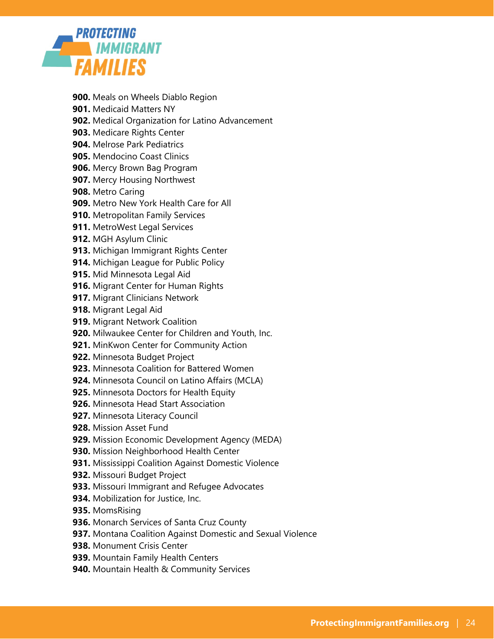

- **900.** Meals on Wheels Diablo Region
- **901.** Medicaid Matters NY
- **902.** Medical Organization for Latino Advancement
- **903.** Medicare Rights Center
- **904.** Melrose Park Pediatrics
- **905.** Mendocino Coast Clinics
- **906.** Mercy Brown Bag Program
- **907.** Mercy Housing Northwest
- **908.** Metro Caring
- **909.** Metro New York Health Care for All
- **910.** Metropolitan Family Services
- **911.** MetroWest Legal Services
- **912.** MGH Asylum Clinic
- **913.** Michigan Immigrant Rights Center
- **914.** Michigan League for Public Policy
- **915.** Mid Minnesota Legal Aid
- **916.** Migrant Center for Human Rights
- **917.** Migrant Clinicians Network
- **918.** Migrant Legal Aid
- **919.** Migrant Network Coalition
- **920.** Milwaukee Center for Children and Youth, Inc.
- **921.** MinKwon Center for Community Action
- **922.** Minnesota Budget Project
- **923.** Minnesota Coalition for Battered Women
- **924.** Minnesota Council on Latino Affairs (MCLA)
- **925.** Minnesota Doctors for Health Equity
- **926.** Minnesota Head Start Association
- **927.** Minnesota Literacy Council
- **928.** Mission Asset Fund
- **929.** Mission Economic Development Agency (MEDA)
- **930.** Mission Neighborhood Health Center
- **931.** Mississippi Coalition Against Domestic Violence
- **932.** Missouri Budget Project
- **933.** Missouri Immigrant and Refugee Advocates
- **934.** Mobilization for Justice, Inc.
- **935.** MomsRising
- **936.** Monarch Services of Santa Cruz County
- **937.** Montana Coalition Against Domestic and Sexual Violence
- **938.** Monument Crisis Center
- **939.** Mountain Family Health Centers
- **940.** Mountain Health & Community Services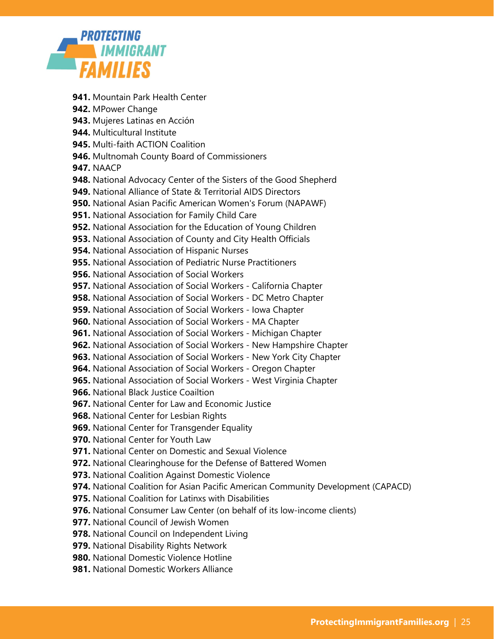

- **941.** Mountain Park Health Center
- **942.** MPower Change
- **943.** Mujeres Latinas en Acción
- **944.** Multicultural Institute
- **945.** Multi-faith ACTION Coalition
- **946.** Multnomah County Board of Commissioners
- **947.** NAACP
- **948.** National Advocacy Center of the Sisters of the Good Shepherd
- **949.** National Alliance of State & Territorial AIDS Directors
- **950.** National Asian Pacific American Women's Forum (NAPAWF)
- **951.** National Association for Family Child Care
- **952.** National Association for the Education of Young Children
- **953.** National Association of County and City Health Officials
- **954.** National Association of Hispanic Nurses
- **955.** National Association of Pediatric Nurse Practitioners
- **956.** National Association of Social Workers
- **957.** National Association of Social Workers California Chapter
- **958.** National Association of Social Workers DC Metro Chapter
- **959.** National Association of Social Workers Iowa Chapter
- **960.** National Association of Social Workers MA Chapter
- **961.** National Association of Social Workers Michigan Chapter
- **962.** National Association of Social Workers New Hampshire Chapter
- **963.** National Association of Social Workers New York City Chapter
- **964.** National Association of Social Workers Oregon Chapter
- **965.** National Association of Social Workers West Virginia Chapter
- **966.** National Black Justice Coailtion
- **967.** National Center for Law and Economic Justice
- **968.** National Center for Lesbian Rights
- **969.** National Center for Transgender Equality
- **970.** National Center for Youth Law
- **971.** National Center on Domestic and Sexual Violence
- **972.** National Clearinghouse for the Defense of Battered Women
- **973.** National Coalition Against Domestic Violence
- **974.** National Coalition for Asian Pacific American Community Development (CAPACD)
- **975.** National Coalition for Latinxs with Disabilities
- **976.** National Consumer Law Center (on behalf of its low-income clients)
- **977.** National Council of Jewish Women
- **978.** National Council on Independent Living
- **979.** National Disability Rights Network
- **980.** National Domestic Violence Hotline
- **981.** National Domestic Workers Alliance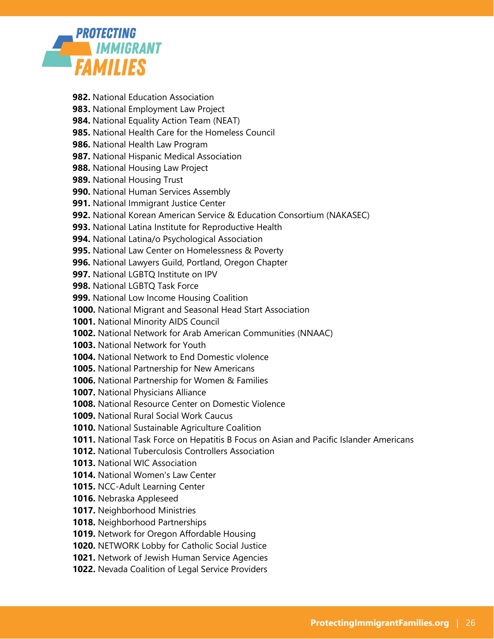

- **982.** National Education Association
- **983.** National Employment Law Project
- **984.** National Equality Action Team (NEAT)
- **985.** National Health Care for the Homeless Council
- **986.** National Health Law Program
- **987.** National Hispanic Medical Association
- **988.** National Housing Law Project
- **989.** National Housing Trust
- **990.** National Human Services Assembly
- **991.** National Immigrant Justice Center
- **992.** National Korean American Service & Education Consortium (NAKASEC)
- **993.** National Latina Institute for Reproductive Health
- **994.** National Latina/o Psychological Association
- **995.** National Law Center on Homelessness & Poverty
- **996.** National Lawyers Guild, Portland, Oregon Chapter
- **997.** National LGBTQ Institute on IPV
- **998.** National LGBTQ Task Force
- **999.** National Low Income Housing Coalition
- **1000.** National Migrant and Seasonal Head Start Association
- **1001.** National Minority AIDS Council
- **1002.** National Network for Arab American Communities (NNAAC)
- **1003.** National Network for Youth
- **1004.** National Network to End Domestic vIolence
- **1005.** National Partnership for New Americans
- **1006.** National Partnership for Women & Families
- **1007.** National Physicians Alliance
- **1008.** National Resource Center on Domestic Violence
- **1009.** National Rural Social Work Caucus
- **1010.** National Sustainable Agriculture Coalition
- **1011.** National Task Force on Hepatitis B Focus on Asian and Pacific Islander Americans
- **1012.** National Tuberculosis Controllers Association
- **1013.** National WIC Association
- **1014.** National Women's Law Center
- **1015.** NCC-Adult Learning Center
- **1016.** Nebraska Appleseed
- **1017.** Neighborhood Ministries
- **1018.** Neighborhood Partnerships
- **1019.** Network for Oregon Affordable Housing
- **1020.** NETWORK Lobby for Catholic Social Justice
- **1021.** Network of Jewish Human Service Agencies
- **1022.** Nevada Coalition of Legal Service Providers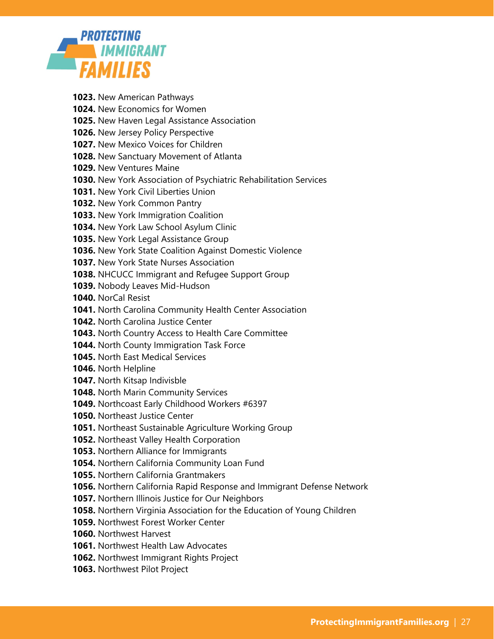

**1023.** New American Pathways **1024.** New Economics for Women **1025.** New Haven Legal Assistance Association **1026.** New Jersey Policy Perspective **1027.** New Mexico Voices for Children **1028.** New Sanctuary Movement of Atlanta **1029.** New Ventures Maine **1030.** New York Association of Psychiatric Rehabilitation Services **1031.** New York Civil Liberties Union **1032.** New York Common Pantry **1033.** New York Immigration Coalition **1034.** New York Law School Asylum Clinic **1035.** New York Legal Assistance Group **1036.** New York State Coalition Against Domestic Violence **1037.** New York State Nurses Association **1038.** NHCUCC Immigrant and Refugee Support Group **1039.** Nobody Leaves Mid-Hudson **1040.** NorCal Resist **1041.** North Carolina Community Health Center Association **1042.** North Carolina Justice Center **1043.** North Country Access to Health Care Committee **1044.** North County Immigration Task Force **1045.** North East Medical Services **1046.** North Helpline **1047.** North Kitsap Indivisble **1048.** North Marin Community Services **1049.** Northcoast Early Childhood Workers #6397 **1050.** Northeast Justice Center **1051.** Northeast Sustainable Agriculture Working Group **1052.** Northeast Valley Health Corporation **1053.** Northern Alliance for Immigrants **1054.** Northern California Community Loan Fund **1055.** Northern California Grantmakers **1056.** Northern California Rapid Response and Immigrant Defense Network **1057.** Northern Illinois Justice for Our Neighbors **1058.** Northern Virginia Association for the Education of Young Children **1059.** Northwest Forest Worker Center **1060.** Northwest Harvest **1061.** Northwest Health Law Advocates

**1062.** Northwest Immigrant Rights Project

**1063.** Northwest Pilot Project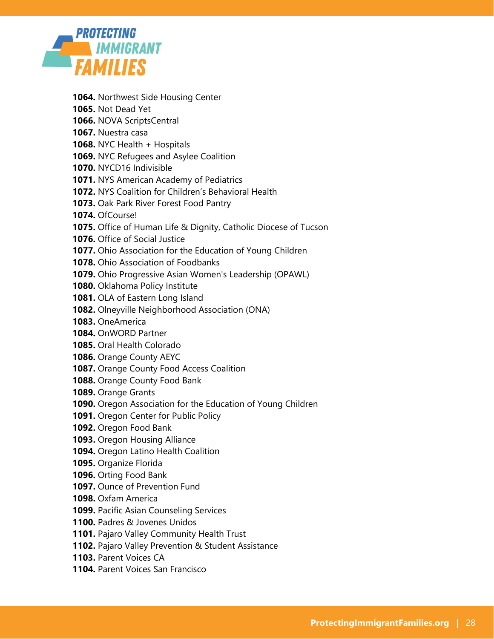

- **1064.** Northwest Side Housing Center
- **1065.** Not Dead Yet
- **1066.** NOVA ScriptsCentral
- **1067.** Nuestra casa
- **1068.** NYC Health + Hospitals
- **1069.** NYC Refugees and Asylee Coalition
- **1070.** NYCD16 Indivisible
- **1071.** NYS American Academy of Pediatrics
- **1072.** NYS Coalition for Children's Behavioral Health
- **1073.** Oak Park River Forest Food Pantry
- **1074.** OfCourse!
- **1075.** Office of Human Life & Dignity, Catholic Diocese of Tucson
- **1076.** Office of Social Justice
- **1077.** Ohio Association for the Education of Young Children
- **1078.** Ohio Association of Foodbanks
- **1079.** Ohio Progressive Asian Women's Leadership (OPAWL)
- **1080.** Oklahoma Policy Institute
- **1081.** OLA of Eastern Long Island
- **1082.** Olneyville Neighborhood Association (ONA)
- **1083.** OneAmerica
- **1084.** OnWORD Partner
- **1085.** Oral Health Colorado
- **1086.** Orange County AEYC
- **1087.** Orange County Food Access Coalition
- **1088.** Orange County Food Bank
- **1089.** Orange Grants
- **1090.** Oregon Association for the Education of Young Children
- **1091.** Oregon Center for Public Policy
- **1092.** Oregon Food Bank
- **1093.** Oregon Housing Alliance
- **1094.** Oregon Latino Health Coalition
- **1095.** Organize Florida
- **1096.** Orting Food Bank
- **1097.** Ounce of Prevention Fund
- **1098.** Oxfam America
- **1099.** Pacific Asian Counseling Services
- **1100.** Padres & Jovenes Unidos
- **1101.** Pajaro Valley Community Health Trust
- **1102.** Pajaro Valley Prevention & Student Assistance
- **1103.** Parent Voices CA
- **1104.** Parent Voices San Francisco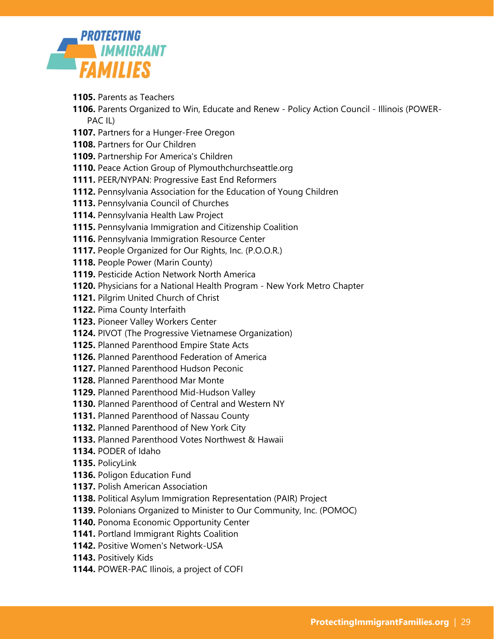

- **1105.** Parents as Teachers
- **1106.** Parents Organized to Win, Educate and Renew Policy Action Council Illinois (POWER-PAC IL)
- **1107.** Partners for a Hunger-Free Oregon
- **1108.** Partners for Our Children
- **1109.** Partnership For America's Children
- **1110.** Peace Action Group of Plymouthchurchseattle.org
- **1111.** PEER/NYPAN: Progressive East End Reformers
- **1112.** Pennsylvania Association for the Education of Young Children
- **1113.** Pennsylvania Council of Churches
- **1114.** Pennsylvania Health Law Project
- **1115.** Pennsylvania Immigration and Citizenship Coalition
- **1116.** Pennsylvania Immigration Resource Center
- **1117.** People Organized for Our Rights, Inc. (P.O.O.R.)
- **1118.** People Power (Marin County)
- **1119.** Pesticide Action Network North America
- **1120.** Physicians for a National Health Program New York Metro Chapter
- **1121.** Pilgrim United Church of Christ
- **1122.** Pima County Interfaith
- **1123.** Pioneer Valley Workers Center
- **1124.** PIVOT (The Progressive Vietnamese Organization)
- **1125.** Planned Parenthood Empire State Acts
- **1126.** Planned Parenthood Federation of America
- **1127.** Planned Parenthood Hudson Peconic
- **1128.** Planned Parenthood Mar Monte
- **1129.** Planned Parenthood Mid-Hudson Valley
- **1130.** Planned Parenthood of Central and Western NY
- **1131.** Planned Parenthood of Nassau County
- **1132.** Planned Parenthood of New York City
- **1133.** Planned Parenthood Votes Northwest & Hawaii
- **1134.** PODER of Idaho
- **1135.** PolicyLink
- **1136.** Poligon Education Fund
- **1137.** Polish American Association
- **1138.** Political Asylum Immigration Representation (PAIR) Project
- **1139.** Polonians Organized to Minister to Our Community, Inc. (POMOC)
- **1140.** Ponoma Economic Opportunity Center
- **1141.** Portland Immigrant Rights Coalition
- **1142.** Positive Women's Network-USA
- **1143.** Positively Kids
- **1144.** POWER-PAC Ilinois, a project of COFI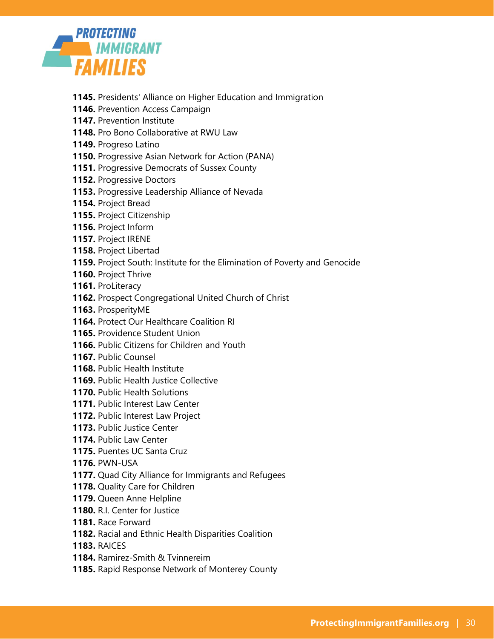

- **1145.** Presidents' Alliance on Higher Education and Immigration
- **1146.** Prevention Access Campaign
- **1147.** Prevention Institute
- **1148.** Pro Bono Collaborative at RWU Law
- **1149.** Progreso Latino
- **1150.** Progressive Asian Network for Action (PANA)
- **1151.** Progressive Democrats of Sussex County
- **1152.** Progressive Doctors
- **1153.** Progressive Leadership Alliance of Nevada
- **1154.** Project Bread
- **1155.** Project Citizenship
- **1156.** Project Inform
- **1157.** Project IRENE
- **1158.** Project Libertad
- **1159.** Project South: Institute for the Elimination of Poverty and Genocide
- **1160.** Project Thrive
- **1161.** ProLiteracy
- **1162.** Prospect Congregational United Church of Christ
- **1163.** ProsperityME
- **1164.** Protect Our Healthcare Coalition RI
- **1165.** Providence Student Union
- **1166.** Public Citizens for Children and Youth
- **1167.** Public Counsel
- **1168.** Public Health Institute
- **1169.** Public Health Justice Collective
- **1170.** Public Health Solutions
- **1171.** Public Interest Law Center
- **1172.** Public Interest Law Project
- **1173.** Public Justice Center
- **1174.** Public Law Center
- **1175.** Puentes UC Santa Cruz
- **1176.** PWN-USA
- **1177.** Quad City Alliance for Immigrants and Refugees
- **1178.** Quality Care for Children
- **1179.** Queen Anne Helpline
- **1180.** R.I. Center for Justice
- **1181.** Race Forward
- **1182.** Racial and Ethnic Health Disparities Coalition
- **1183.** RAICES
- **1184.** Ramirez-Smith & Tvinnereim
- **1185.** Rapid Response Network of Monterey County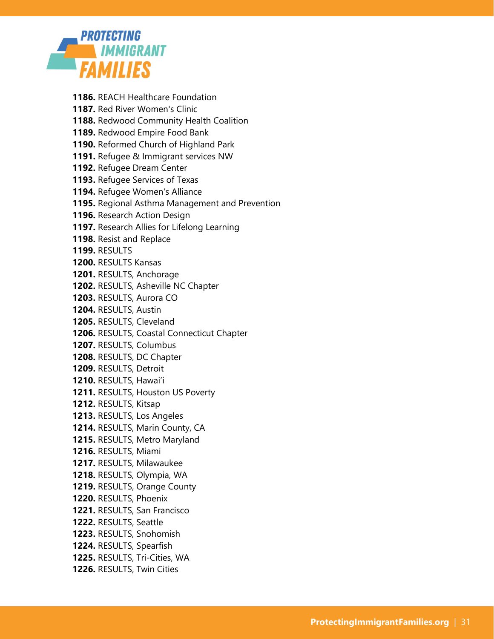

- **1186.** REACH Healthcare Foundation **1187.** Red River Women's Clinic **1188.** Redwood Community Health Coalition **1189.** Redwood Empire Food Bank **1190.** Reformed Church of Highland Park **1191.** Refugee & Immigrant services NW **1192.** Refugee Dream Center **1193.** Refugee Services of Texas **1194.** Refugee Women's Alliance **1195.** Regional Asthma Management and Prevention **1196.** Research Action Design **1197.** Research Allies for Lifelong Learning **1198.** Resist and Replace **1199.** RESULTS **1200.** RESULTS Kansas **1201.** RESULTS, Anchorage **1202.** RESULTS, Asheville NC Chapter **1203.** RESULTS, Aurora CO **1204.** RESULTS, Austin **1205.** RESULTS, Cleveland **1206.** RESULTS, Coastal Connecticut Chapter **1207.** RESULTS, Columbus **1208.** RESULTS, DC Chapter **1209.** RESULTS, Detroit **1210.** RESULTS, Hawai'i **1211.** RESULTS, Houston US Poverty **1212.** RESULTS, Kitsap **1213.** RESULTS, Los Angeles **1214.** RESULTS, Marin County, CA **1215.** RESULTS, Metro Maryland **1216.** RESULTS, Miami **1217.** RESULTS, Milawaukee **1218.** RESULTS, Olympia, WA **1219.** RESULTS, Orange County **1220.** RESULTS, Phoenix
- **1221.** RESULTS, San Francisco
- **1222.** RESULTS, Seattle
- **1223.** RESULTS, Snohomish
- **1224.** RESULTS, Spearfish
- **1225.** RESULTS, Tri-Cities, WA
- **1226.** RESULTS, Twin Cities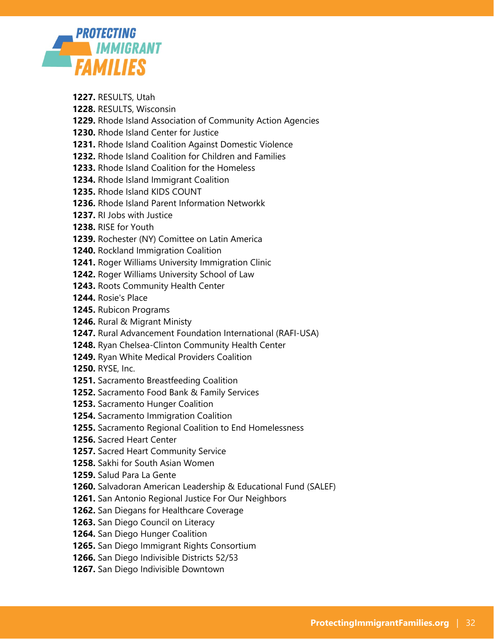

- **1227.** RESULTS, Utah
- **1228.** RESULTS, Wisconsin
- **1229.** Rhode Island Association of Community Action Agencies
- **1230.** Rhode Island Center for Justice
- **1231.** Rhode Island Coalition Against Domestic Violence
- **1232.** Rhode Island Coalition for Children and Families
- **1233.** Rhode Island Coalition for the Homeless
- **1234.** Rhode Island Immigrant Coalition
- **1235.** Rhode Island KIDS COUNT
- **1236.** Rhode Island Parent Information Networkk
- **1237.** RI Jobs with Justice
- **1238.** RISE for Youth
- **1239.** Rochester (NY) Comittee on Latin America
- **1240.** Rockland Immigration Coalition
- **1241.** Roger Williams University Immigration Clinic
- **1242.** Roger Williams University School of Law
- **1243.** Roots Community Health Center
- **1244.** Rosie's Place
- **1245.** Rubicon Programs
- **1246.** Rural & Migrant Ministy
- **1247.** Rural Advancement Foundation International (RAFI-USA)
- **1248.** Ryan Chelsea-Clinton Community Health Center
- **1249.** Ryan White Medical Providers Coalition
- **1250.** RYSE, Inc.
- **1251.** Sacramento Breastfeeding Coalition
- **1252.** Sacramento Food Bank & Family Services
- **1253.** Sacramento Hunger Coalition
- **1254.** Sacramento Immigration Coalition
- **1255.** Sacramento Regional Coalition to End Homelessness
- **1256.** Sacred Heart Center
- **1257.** Sacred Heart Community Service
- **1258.** Sakhi for South Asian Women
- **1259.** Salud Para La Gente
- **1260.** Salvadoran American Leadership & Educational Fund (SALEF)
- **1261.** San Antonio Regional Justice For Our Neighbors
- **1262.** San Diegans for Healthcare Coverage
- **1263.** San Diego Council on Literacy
- **1264.** San Diego Hunger Coalition
- **1265.** San Diego Immigrant Rights Consortium
- **1266.** San Diego Indivisible Districts 52/53
- **1267.** San Diego Indivisible Downtown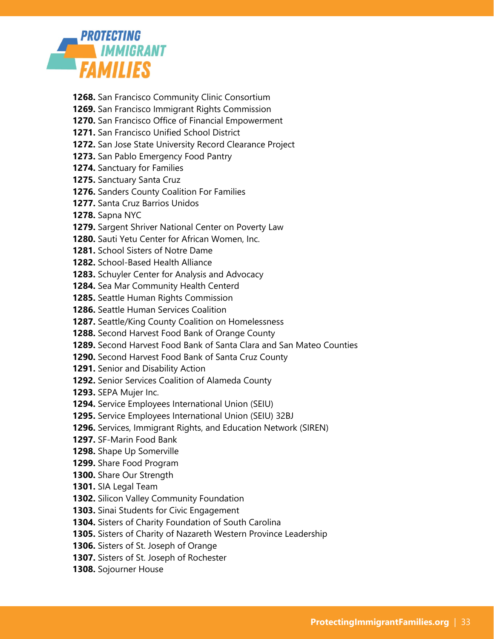

- **1268.** San Francisco Community Clinic Consortium
- **1269.** San Francisco Immigrant Rights Commission
- **1270.** San Francisco Office of Financial Empowerment
- **1271.** San Francisco Unified School District
- **1272.** San Jose State University Record Clearance Project
- **1273.** San Pablo Emergency Food Pantry
- **1274.** Sanctuary for Families
- **1275.** Sanctuary Santa Cruz
- **1276.** Sanders County Coalition For Families
- **1277.** Santa Cruz Barrios Unidos
- **1278.** Sapna NYC
- **1279.** Sargent Shriver National Center on Poverty Law
- **1280.** Sauti Yetu Center for African Women, Inc.
- **1281.** School Sisters of Notre Dame
- **1282.** School-Based Health Alliance
- **1283.** Schuyler Center for Analysis and Advocacy
- **1284.** Sea Mar Community Health Centerd
- **1285.** Seattle Human Rights Commission
- **1286.** Seattle Human Services Coalition
- **1287.** Seattle/King County Coalition on Homelessness
- **1288.** Second Harvest Food Bank of Orange County
- **1289.** Second Harvest Food Bank of Santa Clara and San Mateo Counties
- **1290.** Second Harvest Food Bank of Santa Cruz County
- **1291.** Senior and Disability Action
- **1292.** Senior Services Coalition of Alameda County
- **1293.** SEPA Mujer Inc.
- **1294.** Service Employees International Union (SEIU)
- **1295.** Service Employees International Union (SEIU) 32BJ
- **1296.** Services, Immigrant Rights, and Education Network (SIREN)
- **1297.** SF-Marin Food Bank
- **1298.** Shape Up Somerville
- **1299.** Share Food Program
- **1300.** Share Our Strength
- **1301.** SIA Legal Team
- **1302.** Silicon Valley Community Foundation
- **1303.** Sinai Students for Civic Engagement
- **1304.** Sisters of Charity Foundation of South Carolina
- **1305.** Sisters of Charity of Nazareth Western Province Leadership
- **1306.** Sisters of St. Joseph of Orange
- **1307.** Sisters of St. Joseph of Rochester
- **1308.** Sojourner House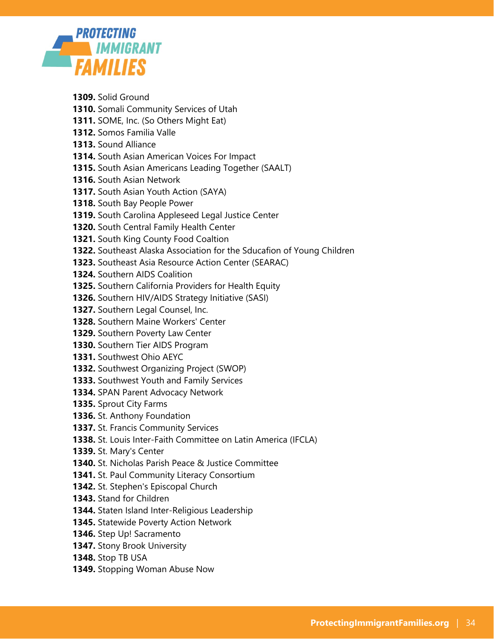

**1309.** Solid Ground **1310.** Somali Community Services of Utah **1311.** SOME, Inc. (So Others Might Eat) **1312.** Somos Familia Valle **1313.** Sound Alliance **1314.** South Asian American Voices For Impact **1315.** South Asian Americans Leading Together (SAALT) **1316.** South Asian Network **1317.** South Asian Youth Action (SAYA) **1318.** South Bay People Power **1319.** South Carolina Appleseed Legal Justice Center **1320.** South Central Family Health Center **1321.** South King County Food Coaltion **1322.** Southeast Alaska Association for the Sducafion of Young Children **1323.** Southeast Asia Resource Action Center (SEARAC) **1324.** Southern AIDS Coalition **1325.** Southern California Providers for Health Equity **1326.** Southern HIV/AIDS Strategy Initiative (SASI) **1327.** Southern Legal Counsel, Inc. **1328.** Southern Maine Workers' Center **1329.** Southern Poverty Law Center **1330.** Southern Tier AIDS Program **1331.** Southwest Ohio AEYC **1332.** Southwest Organizing Project (SWOP) **1333.** Southwest Youth and Family Services **1334.** SPAN Parent Advocacy Network **1335.** Sprout City Farms **1336.** St. Anthony Foundation **1337.** St. Francis Community Services **1338.** St. Louis Inter-Faith Committee on Latin America (IFCLA) **1339.** St. Mary's Center **1340.** St. Nicholas Parish Peace & Justice Committee **1341.** St. Paul Community Literacy Consortium

- **1342.** St. Stephen's Episcopal Church
- **1343.** Stand for Children
- **1344.** Staten Island Inter-Religious Leadership
- **1345.** Statewide Poverty Action Network
- **1346.** Step Up! Sacramento
- **1347.** Stony Brook University
- **1348.** Stop TB USA
- **1349.** Stopping Woman Abuse Now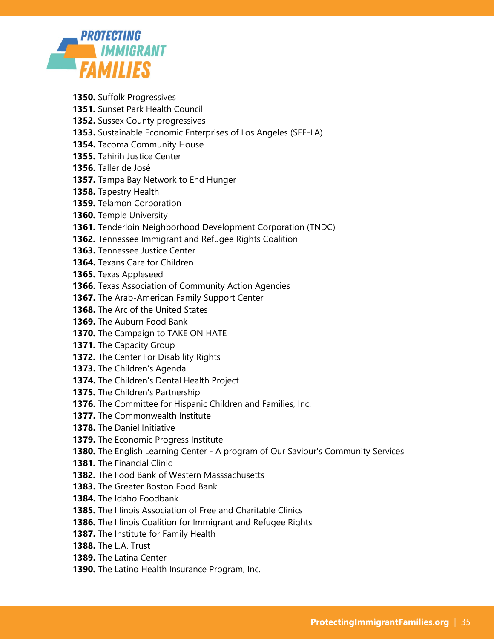

- **1350.** Suffolk Progressives
- **1351.** Sunset Park Health Council
- **1352.** Sussex County progressives
- **1353.** Sustainable Economic Enterprises of Los Angeles (SEE-LA)
- **1354.** Tacoma Community House
- **1355.** Tahirih Justice Center
- **1356.** Taller de José
- **1357.** Tampa Bay Network to End Hunger
- **1358.** Tapestry Health
- **1359.** Telamon Corporation
- **1360.** Temple University
- **1361.** Tenderloin Neighborhood Development Corporation (TNDC)
- **1362.** Tennessee Immigrant and Refugee Rights Coalition
- **1363.** Tennessee Justice Center
- **1364.** Texans Care for Children
- **1365.** Texas Appleseed
- **1366.** Texas Association of Community Action Agencies
- **1367.** The Arab-American Family Support Center
- **1368.** The Arc of the United States
- **1369.** The Auburn Food Bank
- **1370.** The Campaign to TAKE ON HATE
- **1371.** The Capacity Group
- **1372.** The Center For Disability Rights
- **1373.** The Children's Agenda
- **1374.** The Children's Dental Health Project
- **1375.** The Children's Partnership
- **1376.** The Committee for Hispanic Children and Families, Inc.
- **1377.** The Commonwealth Institute
- **1378.** The Daniel Initiative
- **1379.** The Economic Progress Institute
- **1380.** The English Learning Center A program of Our Saviour's Community Services
- **1381.** The Financial Clinic
- **1382.** The Food Bank of Western Masssachusetts
- **1383.** The Greater Boston Food Bank
- **1384.** The Idaho Foodbank
- **1385.** The Illinois Association of Free and Charitable Clinics
- **1386.** The Illinois Coalition for Immigrant and Refugee Rights
- **1387.** The Institute for Family Health
- **1388.** The L.A. Trust
- **1389.** The Latina Center
- **1390.** The Latino Health Insurance Program, Inc.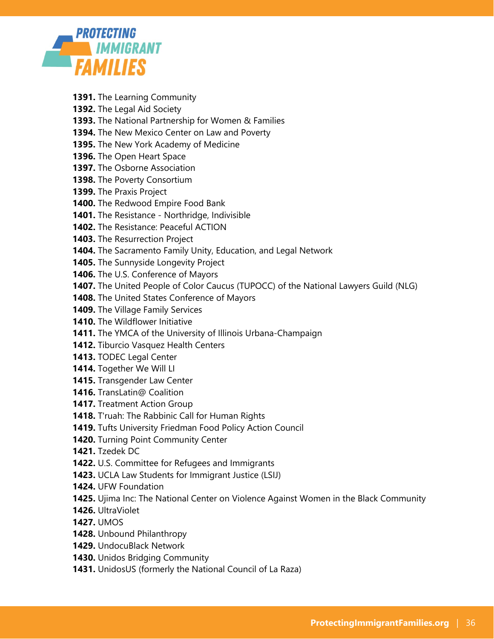

- **1391.** The Learning Community
- **1392.** The Legal Aid Society
- **1393.** The National Partnership for Women & Families
- **1394.** The New Mexico Center on Law and Poverty
- **1395.** The New York Academy of Medicine
- **1396.** The Open Heart Space
- **1397.** The Osborne Association
- **1398.** The Poverty Consortium
- **1399.** The Praxis Project
- **1400.** The Redwood Empire Food Bank
- **1401.** The Resistance Northridge, Indivisible
- **1402.** The Resistance: Peaceful ACTION
- **1403.** The Resurrection Project
- **1404.** The Sacramento Family Unity, Education, and Legal Network
- **1405.** The Sunnyside Longevity Project
- **1406.** The U.S. Conference of Mayors
- **1407.** The United People of Color Caucus (TUPOCC) of the National Lawyers Guild (NLG)
- **1408.** The United States Conference of Mayors
- **1409.** The Village Family Services
- **1410.** The Wildflower Initiative
- **1411.** The YMCA of the University of Illinois Urbana-Champaign
- **1412.** Tiburcio Vasquez Health Centers
- **1413.** TODEC Legal Center
- **1414.** Together We Will LI
- **1415.** Transgender Law Center
- **1416.** TransLatin@ Coalition
- **1417.** Treatment Action Group
- **1418.** T'ruah: The Rabbinic Call for Human Rights
- **1419.** Tufts University Friedman Food Policy Action Council
- **1420.** Turning Point Community Center
- **1421.** Tzedek DC
- **1422.** U.S. Committee for Refugees and Immigrants
- **1423.** UCLA Law Students for Immigrant Justice (LSIJ)
- **1424.** UFW Foundation
- **1425.** Ujima Inc: The National Center on Violence Against Women in the Black Community
- **1426.** UltraViolet
- **1427.** UMOS
- **1428.** Unbound Philanthropy
- **1429.** UndocuBlack Network
- **1430.** Unidos Bridging Community
- **1431.** UnidosUS (formerly the National Council of La Raza)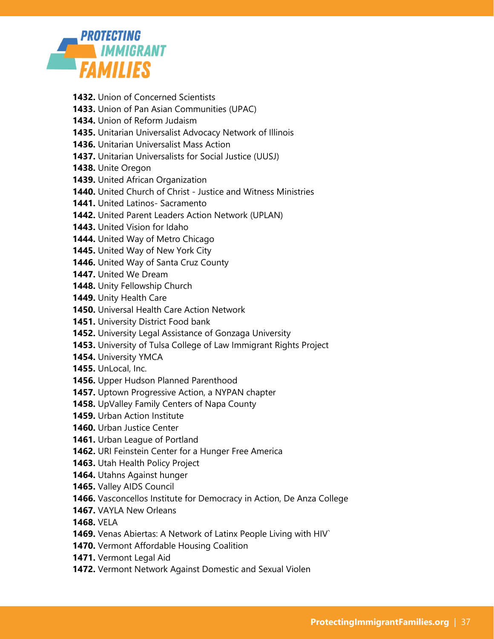

- **1432.** Union of Concerned Scientists
- **1433.** Union of Pan Asian Communities (UPAC)
- **1434.** Union of Reform Judaism
- **1435.** Unitarian Universalist Advocacy Network of Illinois
- **1436.** Unitarian Universalist Mass Action
- **1437.** Unitarian Universalists for Social Justice (UUSJ)
- **1438.** Unite Oregon
- **1439.** United African Organization
- **1440.** United Church of Christ Justice and Witness Ministries
- **1441.** United Latinos- Sacramento
- **1442.** United Parent Leaders Action Network (UPLAN)
- **1443.** United Vision for Idaho
- **1444.** United Way of Metro Chicago
- **1445.** United Way of New York City
- **1446.** United Way of Santa Cruz County
- **1447.** United We Dream
- **1448.** Unity Fellowship Church
- **1449.** Unity Health Care
- **1450.** Universal Health Care Action Network
- **1451.** University District Food bank
- **1452.** University Legal Assistance of Gonzaga University
- **1453.** University of Tulsa College of Law Immigrant Rights Project
- **1454.** University YMCA
- **1455.** UnLocal, Inc.
- **1456.** Upper Hudson Planned Parenthood
- **1457.** Uptown Progressive Action, a NYPAN chapter
- **1458.** UpValley Family Centers of Napa County
- **1459.** Urban Action Institute
- **1460.** Urban Justice Center
- **1461.** Urban League of Portland
- **1462.** URI Feinstein Center for a Hunger Free America
- **1463.** Utah Health Policy Project
- **1464.** Utahns Against hunger
- **1465.** Valley AIDS Council
- **1466.** Vasconcellos Institute for Democracy in Action, De Anza College
- **1467.** VAYLA New Orleans
- **1468.** VELA
- **1469.** Venas Abiertas: A Network of Latinx People Living with HIV`
- **1470.** Vermont Affordable Housing Coalition
- **1471.** Vermont Legal Aid
- **1472.** Vermont Network Against Domestic and Sexual Violen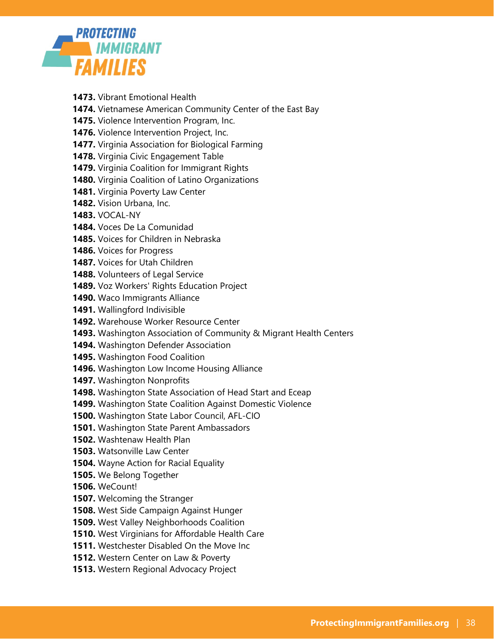

- **1473.** Vibrant Emotional Health
- **1474.** Vietnamese American Community Center of the East Bay
- **1475.** Violence Intervention Program, Inc.
- **1476.** Violence Intervention Project, Inc.
- **1477.** Virginia Association for Biological Farming
- **1478.** Virginia Civic Engagement Table
- **1479.** Virginia Coalition for Immigrant Rights
- **1480.** Virginia Coalition of Latino Organizations
- **1481.** Virginia Poverty Law Center
- **1482.** Vision Urbana, Inc.
- **1483.** VOCAL-NY
- **1484.** Voces De La Comunidad
- **1485.** Voices for Children in Nebraska
- **1486.** Voices for Progress
- **1487.** Voices for Utah Children
- **1488.** Volunteers of Legal Service
- **1489.** Voz Workers' Rights Education Project
- **1490.** Waco Immigrants Alliance
- **1491.** Wallingford Indivisible
- **1492.** Warehouse Worker Resource Center
- **1493.** Washington Association of Community & Migrant Health Centers
- **1494.** Washington Defender Association
- **1495.** Washington Food Coalition
- **1496.** Washington Low Income Housing Alliance
- **1497.** Washington Nonprofits
- **1498.** Washington State Association of Head Start and Eceap
- **1499.** Washington State Coalition Against Domestic Violence
- **1500.** Washington State Labor Council, AFL-CIO
- **1501.** Washington State Parent Ambassadors
- **1502.** Washtenaw Health Plan
- **1503.** Watsonville Law Center
- **1504.** Wayne Action for Racial Equality
- **1505.** We Belong Together
- **1506.** WeCount!
- **1507.** Welcoming the Stranger
- **1508.** West Side Campaign Against Hunger
- **1509.** West Valley Neighborhoods Coalition
- **1510.** West Virginians for Affordable Health Care
- **1511.** Westchester Disabled On the Move Inc
- **1512.** Western Center on Law & Poverty
- **1513.** Western Regional Advocacy Project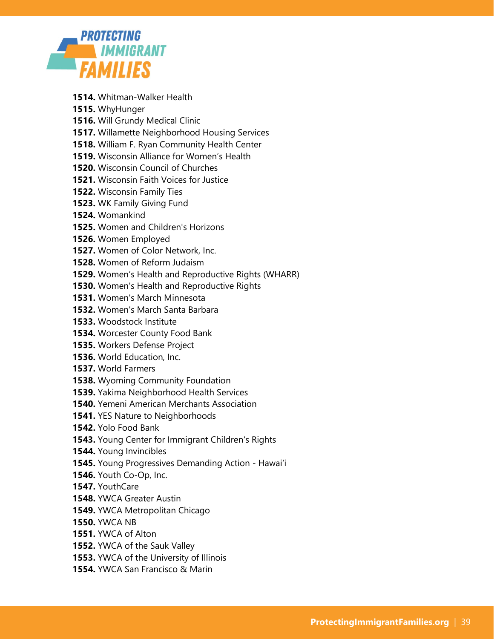

- **1514.** Whitman-Walker Health
- **1515.** WhyHunger
- **1516.** Will Grundy Medical Clinic
- **1517.** Willamette Neighborhood Housing Services
- **1518.** William F. Ryan Community Health Center
- **1519.** Wisconsin Alliance for Women's Health
- **1520.** Wisconsin Council of Churches
- **1521.** Wisconsin Faith Voices for Justice
- **1522.** Wisconsin Family Ties
- **1523.** WK Family Giving Fund
- **1524.** Womankind
- **1525.** Women and Children's Horizons
- **1526.** Women Employed
- **1527.** Women of Color Network, Inc.
- **1528.** Women of Reform Judaism
- **1529.** Women's Health and Reproductive Rights (WHARR)
- **1530.** Women's Health and Reproductive Rights
- **1531.** Women's March Minnesota
- **1532.** Women's March Santa Barbara
- **1533.** Woodstock Institute
- **1534.** Worcester County Food Bank
- **1535.** Workers Defense Project
- **1536.** World Education, Inc.
- **1537.** World Farmers
- **1538.** Wyoming Community Foundation
- **1539.** Yakima Neighborhood Health Services
- **1540.** Yemeni American Merchants Association
- **1541.** YES Nature to Neighborhoods
- **1542.** Yolo Food Bank
- **1543.** Young Center for Immigrant Children's Rights
- **1544.** Young Invincibles
- **1545.** Young Progressives Demanding Action Hawaiʻi
- **1546.** Youth Co-Op, Inc.
- **1547.** YouthCare
- **1548.** YWCA Greater Austin
- **1549.** YWCA Metropolitan Chicago
- **1550.** YWCA NB
- **1551.** YWCA of Alton
- **1552.** YWCA of the Sauk Valley
- **1553.** YWCA of the University of Illinois
- **1554.** YWCA San Francisco & Marin